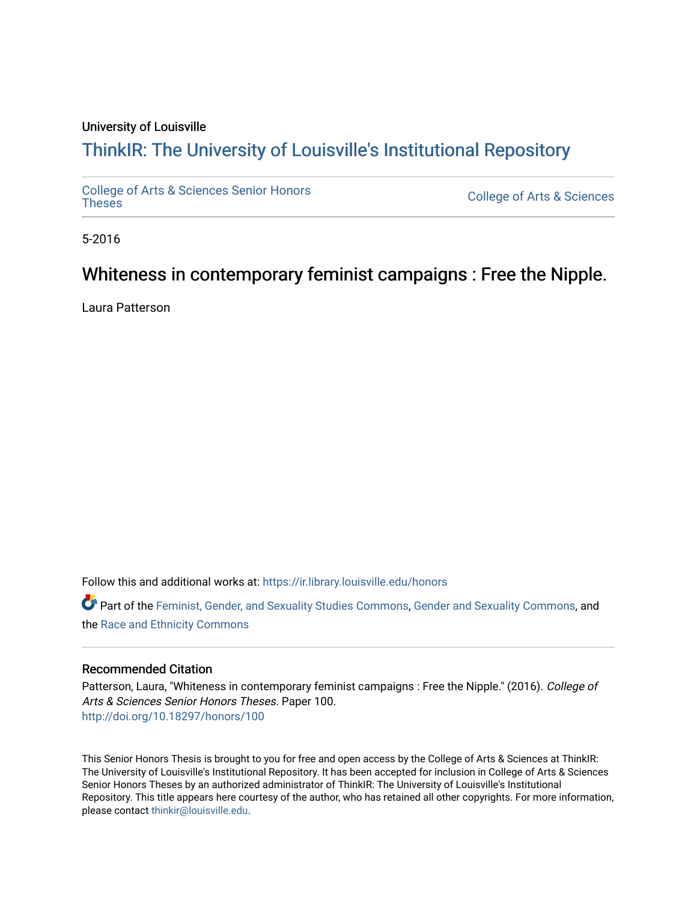# University of Louisville

# ThinkIR: The Univ[ersity of Louisville's Institutional Reposit](https://ir.library.louisville.edu/)ory

[College of Arts & Sciences Senior Honors](https://ir.library.louisville.edu/honors)

College of Arts & Sciences

5-2016

# Whiteness in contemporary feminist campaigns : Free the Nipple.

Laura Patterson

Follow this and additional works at: [https://ir.library.louisville.edu/honors](https://ir.library.louisville.edu/honors?utm_source=ir.library.louisville.edu%2Fhonors%2F100&utm_medium=PDF&utm_campaign=PDFCoverPages)

Part of the [Feminist, Gender, and Sexuality Studies Commons](http://network.bepress.com/hgg/discipline/559?utm_source=ir.library.louisville.edu%2Fhonors%2F100&utm_medium=PDF&utm_campaign=PDFCoverPages), [Gender and Sexuality Commons,](http://network.bepress.com/hgg/discipline/420?utm_source=ir.library.louisville.edu%2Fhonors%2F100&utm_medium=PDF&utm_campaign=PDFCoverPages) and the [Race and Ethnicity Commons](http://network.bepress.com/hgg/discipline/426?utm_source=ir.library.louisville.edu%2Fhonors%2F100&utm_medium=PDF&utm_campaign=PDFCoverPages) 

#### Recommended Citation

Patterson, Laura, "Whiteness in contemporary feminist campaigns : Free the Nipple." (2016). College of Arts & Sciences Senior Honors Theses. Paper 100. <http://doi.org/10.18297/honors/100>

This Senior Honors Thesis is brought to you for free and open access by the College of Arts & Sciences at ThinkIR: The University of Louisville's Institutional Repository. It has been accepted for inclusion in College of Arts & Sciences Senior Honors Theses by an authorized administrator of ThinkIR: The University of Louisville's Institutional Repository. This title appears here courtesy of the author, who has retained all other copyrights. For more information, please contact [thinkir@louisville.edu.](mailto:thinkir@louisville.edu)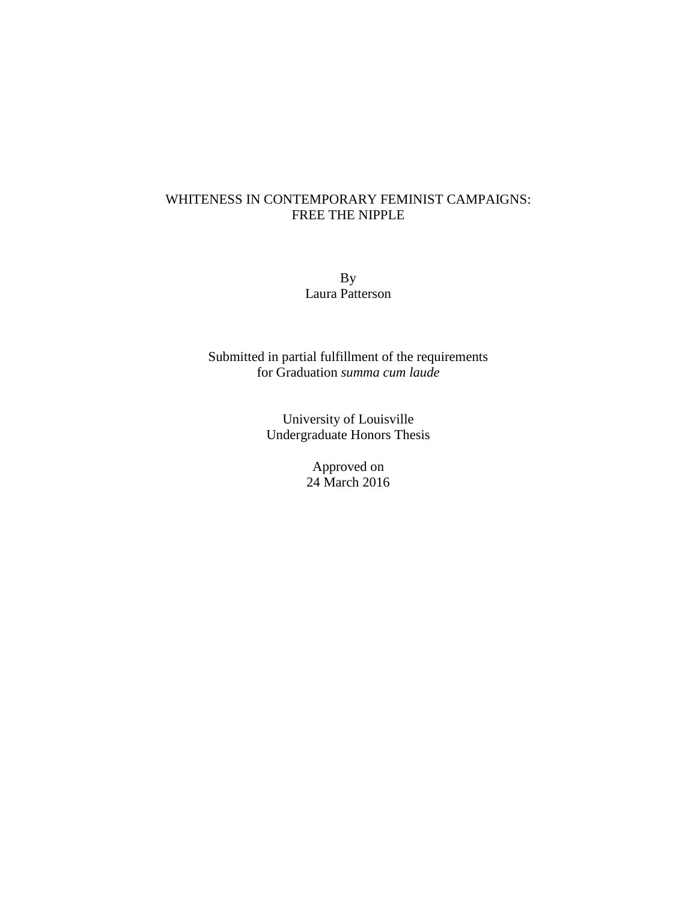# WHITENESS IN CONTEMPORARY FEMINIST CAMPAIGNS: FREE THE NIPPLE

By Laura Patterson

Submitted in partial fulfillment of the requirements for Graduation *summa cum laude*

> University of Louisville Undergraduate Honors Thesis

> > Approved on 24 March 2016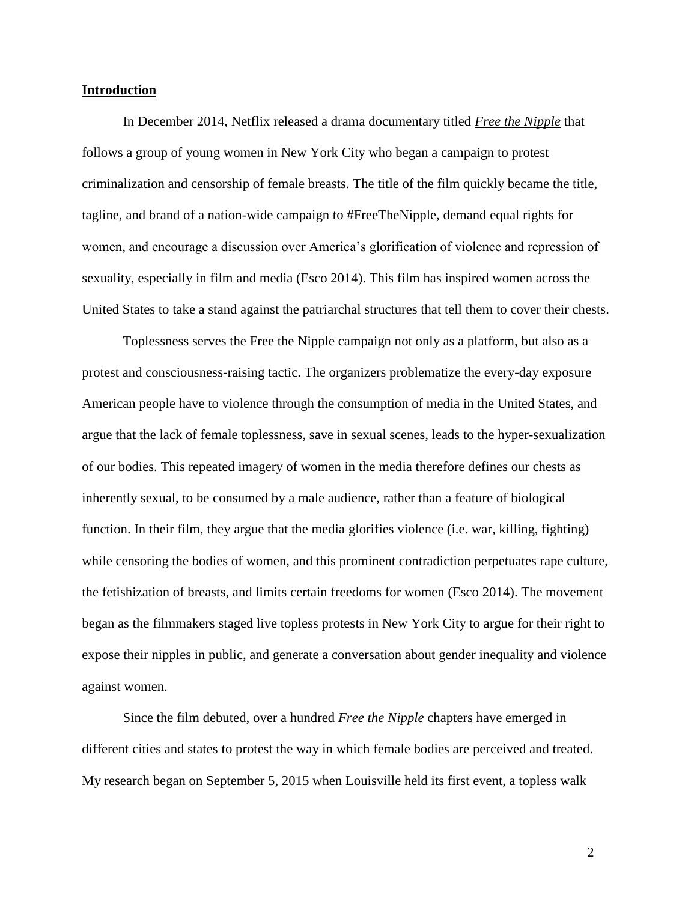# **Introduction**

In December 2014, Netflix released a drama documentary titled *Free the Nipple* that follows a group of young women in New York City who began a campaign to protest criminalization and censorship of female breasts. The title of the film quickly became the title, tagline, and brand of a nation-wide campaign to #FreeTheNipple, demand equal rights for women, and encourage a discussion over America's glorification of violence and repression of sexuality, especially in film and media (Esco 2014). This film has inspired women across the United States to take a stand against the patriarchal structures that tell them to cover their chests.

Toplessness serves the Free the Nipple campaign not only as a platform, but also as a protest and consciousness-raising tactic. The organizers problematize the every-day exposure American people have to violence through the consumption of media in the United States, and argue that the lack of female toplessness, save in sexual scenes, leads to the hyper-sexualization of our bodies. This repeated imagery of women in the media therefore defines our chests as inherently sexual, to be consumed by a male audience, rather than a feature of biological function. In their film, they argue that the media glorifies violence (i.e. war, killing, fighting) while censoring the bodies of women, and this prominent contradiction perpetuates rape culture, the fetishization of breasts, and limits certain freedoms for women (Esco 2014). The movement began as the filmmakers staged live topless protests in New York City to argue for their right to expose their nipples in public, and generate a conversation about gender inequality and violence against women.

Since the film debuted, over a hundred *Free the Nipple* chapters have emerged in different cities and states to protest the way in which female bodies are perceived and treated. My research began on September 5, 2015 when Louisville held its first event, a topless walk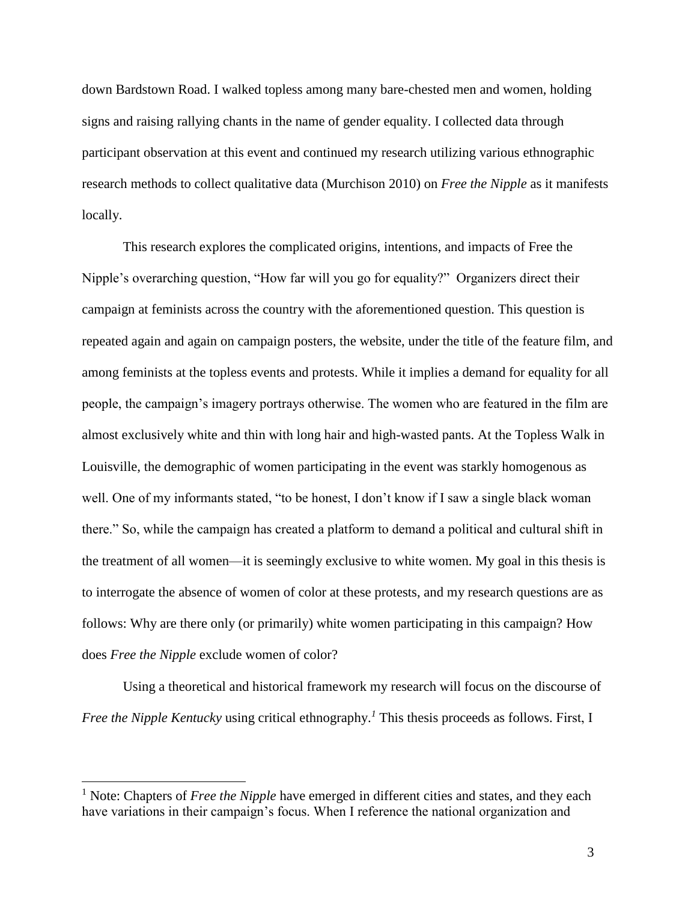down Bardstown Road. I walked topless among many bare-chested men and women, holding signs and raising rallying chants in the name of gender equality. I collected data through participant observation at this event and continued my research utilizing various ethnographic research methods to collect qualitative data (Murchison 2010) on *Free the Nipple* as it manifests locally.

This research explores the complicated origins, intentions, and impacts of Free the Nipple's overarching question, "How far will you go for equality?" Organizers direct their campaign at feminists across the country with the aforementioned question. This question is repeated again and again on campaign posters, the website, under the title of the feature film, and among feminists at the topless events and protests. While it implies a demand for equality for all people, the campaign's imagery portrays otherwise. The women who are featured in the film are almost exclusively white and thin with long hair and high-wasted pants. At the Topless Walk in Louisville, the demographic of women participating in the event was starkly homogenous as well. One of my informants stated, "to be honest, I don't know if I saw a single black woman there." So, while the campaign has created a platform to demand a political and cultural shift in the treatment of all women—it is seemingly exclusive to white women. My goal in this thesis is to interrogate the absence of women of color at these protests, and my research questions are as follows: Why are there only (or primarily) white women participating in this campaign? How does *Free the Nipple* exclude women of color?

Using a theoretical and historical framework my research will focus on the discourse of *Free the Nipple Kentucky* using critical ethnography.<sup>1</sup> This thesis proceeds as follows. First, I

 $\overline{\phantom{a}}$ 

<sup>&</sup>lt;sup>1</sup> Note: Chapters of *Free the Nipple* have emerged in different cities and states, and they each have variations in their campaign's focus. When I reference the national organization and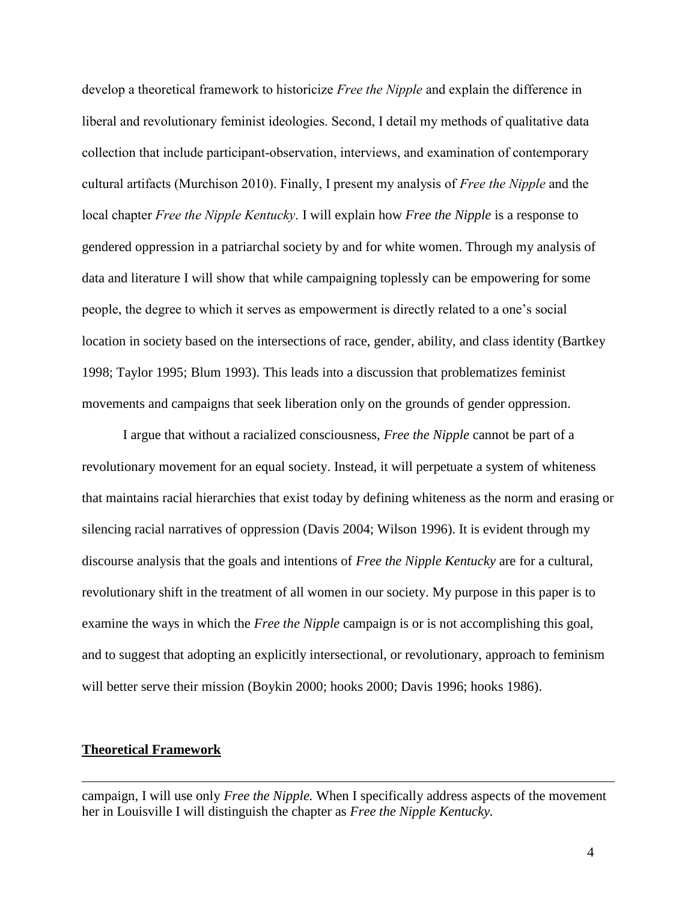develop a theoretical framework to historicize *Free the Nipple* and explain the difference in liberal and revolutionary feminist ideologies. Second, I detail my methods of qualitative data collection that include participant-observation, interviews, and examination of contemporary cultural artifacts (Murchison 2010). Finally, I present my analysis of *Free the Nipple* and the local chapter *Free the Nipple Kentucky*. I will explain how *Free the Nipple* is a response to gendered oppression in a patriarchal society by and for white women. Through my analysis of data and literature I will show that while campaigning toplessly can be empowering for some people, the degree to which it serves as empowerment is directly related to a one's social location in society based on the intersections of race, gender, ability, and class identity (Bartkey 1998; Taylor 1995; Blum 1993). This leads into a discussion that problematizes feminist movements and campaigns that seek liberation only on the grounds of gender oppression.

I argue that without a racialized consciousness, *Free the Nipple* cannot be part of a revolutionary movement for an equal society. Instead, it will perpetuate a system of whiteness that maintains racial hierarchies that exist today by defining whiteness as the norm and erasing or silencing racial narratives of oppression (Davis 2004; Wilson 1996). It is evident through my discourse analysis that the goals and intentions of *Free the Nipple Kentucky* are for a cultural, revolutionary shift in the treatment of all women in our society. My purpose in this paper is to examine the ways in which the *Free the Nipple* campaign is or is not accomplishing this goal, and to suggest that adopting an explicitly intersectional, or revolutionary, approach to feminism will better serve their mission (Boykin 2000; hooks 2000; Davis 1996; hooks 1986).

# **Theoretical Framework**

 $\overline{\phantom{a}}$ 

campaign, I will use only *Free the Nipple.* When I specifically address aspects of the movement her in Louisville I will distinguish the chapter as *Free the Nipple Kentucky.*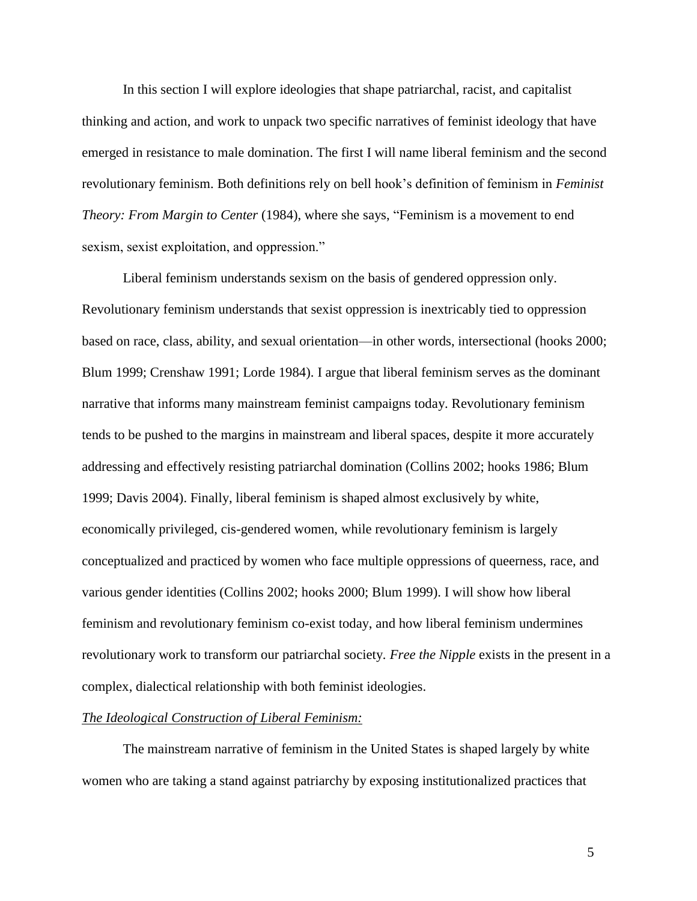In this section I will explore ideologies that shape patriarchal, racist, and capitalist thinking and action, and work to unpack two specific narratives of feminist ideology that have emerged in resistance to male domination. The first I will name liberal feminism and the second revolutionary feminism. Both definitions rely on bell hook's definition of feminism in *Feminist Theory: From Margin to Center* (1984), where she says, "Feminism is a movement to end sexism, sexist exploitation, and oppression."

Liberal feminism understands sexism on the basis of gendered oppression only. Revolutionary feminism understands that sexist oppression is inextricably tied to oppression based on race, class, ability, and sexual orientation—in other words, intersectional (hooks 2000; Blum 1999; Crenshaw 1991; Lorde 1984). I argue that liberal feminism serves as the dominant narrative that informs many mainstream feminist campaigns today. Revolutionary feminism tends to be pushed to the margins in mainstream and liberal spaces, despite it more accurately addressing and effectively resisting patriarchal domination (Collins 2002; hooks 1986; Blum 1999; Davis 2004). Finally, liberal feminism is shaped almost exclusively by white, economically privileged, cis-gendered women, while revolutionary feminism is largely conceptualized and practiced by women who face multiple oppressions of queerness, race, and various gender identities (Collins 2002; hooks 2000; Blum 1999). I will show how liberal feminism and revolutionary feminism co-exist today, and how liberal feminism undermines revolutionary work to transform our patriarchal society*. Free the Nipple* exists in the present in a complex, dialectical relationship with both feminist ideologies.

## *The Ideological Construction of Liberal Feminism:*

The mainstream narrative of feminism in the United States is shaped largely by white women who are taking a stand against patriarchy by exposing institutionalized practices that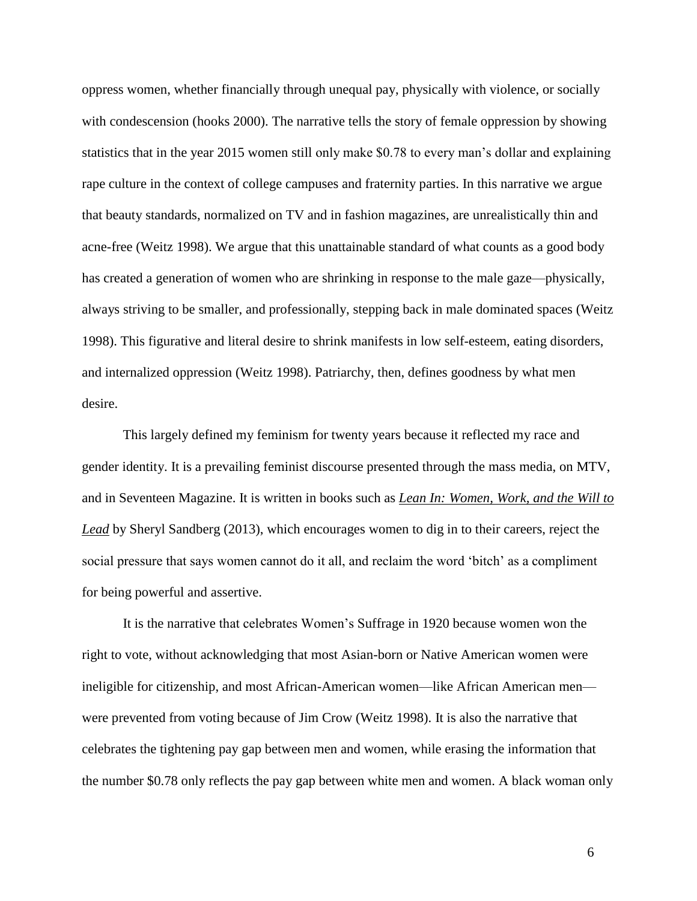oppress women, whether financially through unequal pay, physically with violence, or socially with condescension (hooks 2000). The narrative tells the story of female oppression by showing statistics that in the year 2015 women still only make \$0.78 to every man's dollar and explaining rape culture in the context of college campuses and fraternity parties. In this narrative we argue that beauty standards, normalized on TV and in fashion magazines, are unrealistically thin and acne-free (Weitz 1998). We argue that this unattainable standard of what counts as a good body has created a generation of women who are shrinking in response to the male gaze—physically, always striving to be smaller, and professionally, stepping back in male dominated spaces (Weitz 1998). This figurative and literal desire to shrink manifests in low self-esteem, eating disorders, and internalized oppression (Weitz 1998). Patriarchy, then, defines goodness by what men desire.

This largely defined my feminism for twenty years because it reflected my race and gender identity. It is a prevailing feminist discourse presented through the mass media, on MTV, and in Seventeen Magazine. It is written in books such as *Lean In: Women, Work, and the Will to Lead* by Sheryl Sandberg (2013), which encourages women to dig in to their careers, reject the social pressure that says women cannot do it all, and reclaim the word 'bitch' as a compliment for being powerful and assertive.

It is the narrative that celebrates Women's Suffrage in 1920 because women won the right to vote, without acknowledging that most Asian-born or Native American women were ineligible for citizenship, and most African-American women—like African American men were prevented from voting because of Jim Crow (Weitz 1998). It is also the narrative that celebrates the tightening pay gap between men and women, while erasing the information that the number \$0.78 only reflects the pay gap between white men and women. A black woman only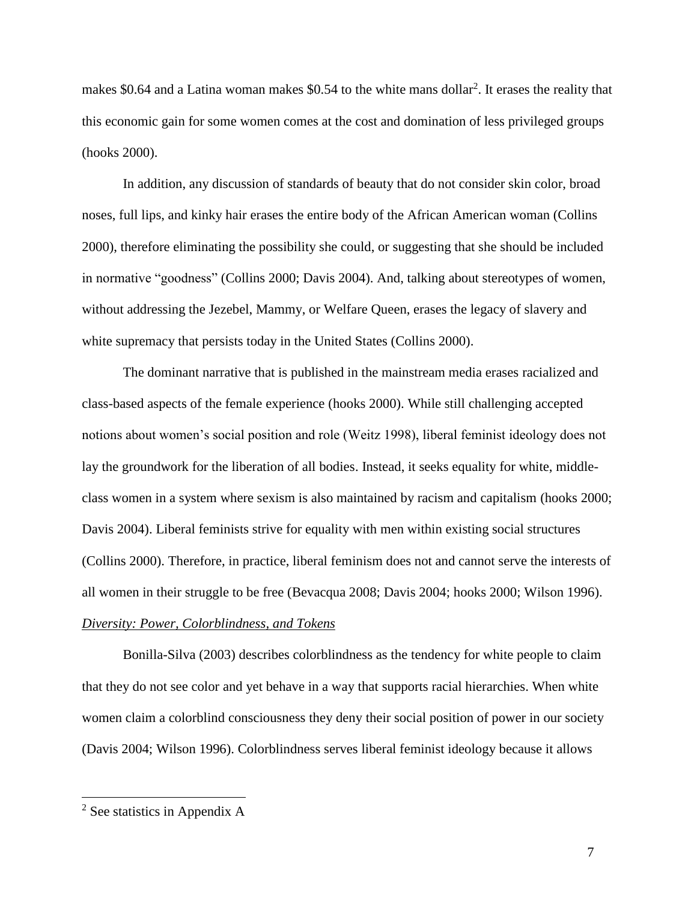makes \$0.64 and a Latina woman makes \$0.54 to the white mans dollar<sup>2</sup>. It erases the reality that this economic gain for some women comes at the cost and domination of less privileged groups (hooks 2000).

In addition, any discussion of standards of beauty that do not consider skin color, broad noses, full lips, and kinky hair erases the entire body of the African American woman (Collins 2000), therefore eliminating the possibility she could, or suggesting that she should be included in normative "goodness" (Collins 2000; Davis 2004). And, talking about stereotypes of women, without addressing the Jezebel, Mammy, or Welfare Queen, erases the legacy of slavery and white supremacy that persists today in the United States (Collins 2000).

The dominant narrative that is published in the mainstream media erases racialized and class-based aspects of the female experience (hooks 2000). While still challenging accepted notions about women's social position and role (Weitz 1998), liberal feminist ideology does not lay the groundwork for the liberation of all bodies. Instead, it seeks equality for white, middleclass women in a system where sexism is also maintained by racism and capitalism (hooks 2000; Davis 2004). Liberal feminists strive for equality with men within existing social structures (Collins 2000). Therefore, in practice, liberal feminism does not and cannot serve the interests of all women in their struggle to be free (Bevacqua 2008; Davis 2004; hooks 2000; Wilson 1996). *Diversity: Power, Colorblindness, and Tokens*

Bonilla-Silva (2003) describes colorblindness as the tendency for white people to claim that they do not see color and yet behave in a way that supports racial hierarchies. When white women claim a colorblind consciousness they deny their social position of power in our society (Davis 2004; Wilson 1996). Colorblindness serves liberal feminist ideology because it allows

 $\overline{\phantom{a}}$ 

<sup>2</sup> See statistics in Appendix A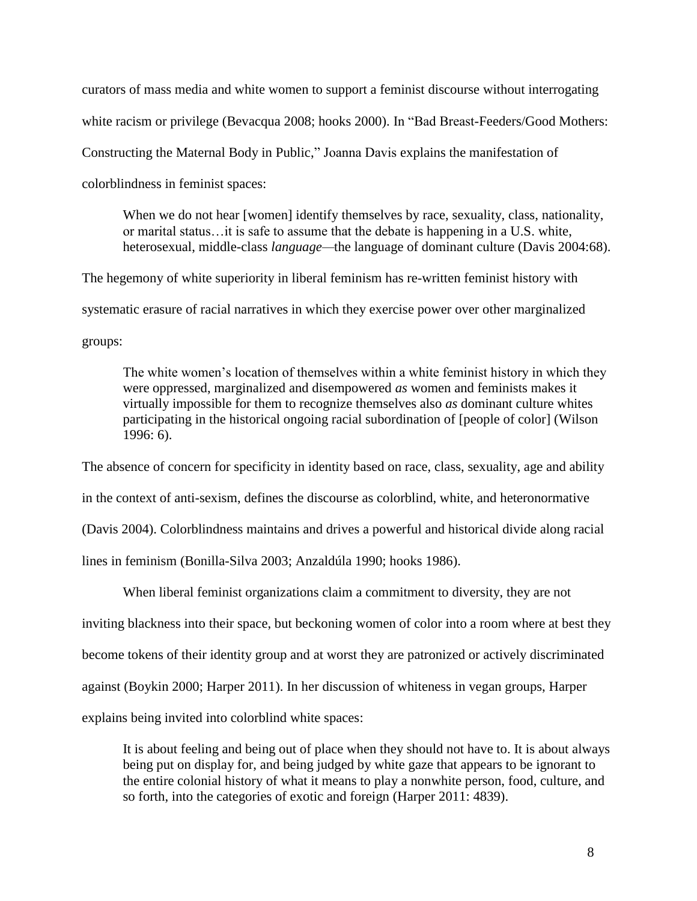curators of mass media and white women to support a feminist discourse without interrogating white racism or privilege (Bevacqua 2008; hooks 2000). In "Bad Breast-Feeders/Good Mothers: Constructing the Maternal Body in Public," Joanna Davis explains the manifestation of colorblindness in feminist spaces:

When we do not hear [women] identify themselves by race, sexuality, class, nationality, or marital status…it is safe to assume that the debate is happening in a U.S. white, heterosexual, middle-class *language—*the language of dominant culture (Davis 2004:68).

The hegemony of white superiority in liberal feminism has re-written feminist history with systematic erasure of racial narratives in which they exercise power over other marginalized groups:

The white women's location of themselves within a white feminist history in which they were oppressed, marginalized and disempowered *as* women and feminists makes it virtually impossible for them to recognize themselves also *as* dominant culture whites participating in the historical ongoing racial subordination of [people of color] (Wilson 1996: 6).

The absence of concern for specificity in identity based on race, class, sexuality, age and ability in the context of anti-sexism, defines the discourse as colorblind, white, and heteronormative (Davis 2004). Colorblindness maintains and drives a powerful and historical divide along racial lines in feminism (Bonilla-Silva 2003; Anzaldúla 1990; hooks 1986).

When liberal feminist organizations claim a commitment to diversity, they are not inviting blackness into their space, but beckoning women of color into a room where at best they become tokens of their identity group and at worst they are patronized or actively discriminated against (Boykin 2000; Harper 2011). In her discussion of whiteness in vegan groups, Harper explains being invited into colorblind white spaces:

It is about feeling and being out of place when they should not have to. It is about always being put on display for, and being judged by white gaze that appears to be ignorant to the entire colonial history of what it means to play a nonwhite person, food, culture, and so forth, into the categories of exotic and foreign (Harper 2011: 4839).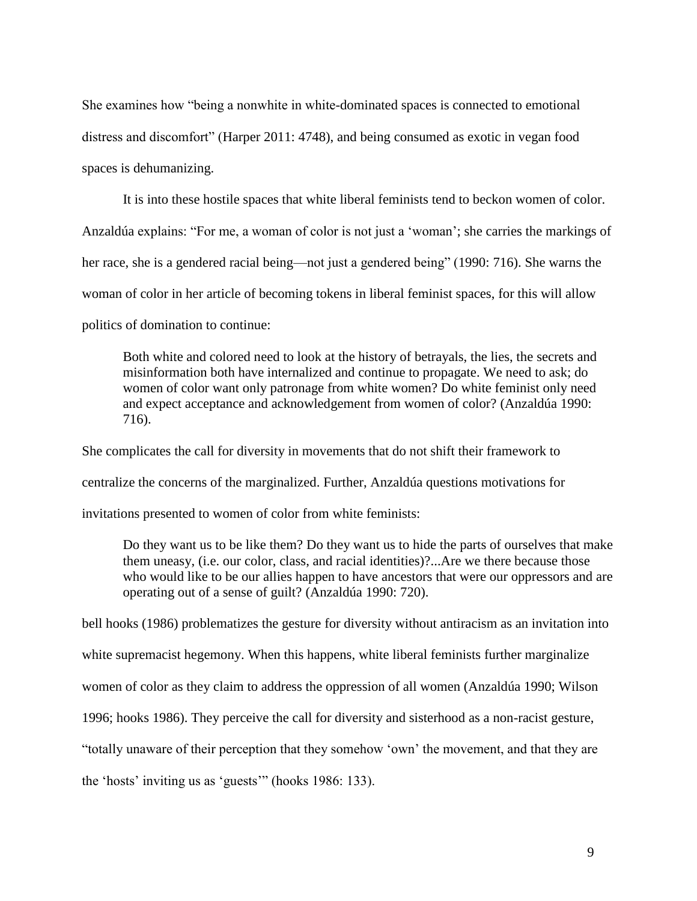She examines how "being a nonwhite in white-dominated spaces is connected to emotional distress and discomfort" (Harper 2011: 4748), and being consumed as exotic in vegan food spaces is dehumanizing.

It is into these hostile spaces that white liberal feminists tend to beckon women of color. Anzaldúa explains: "For me, a woman of color is not just a 'woman'; she carries the markings of her race, she is a gendered racial being—not just a gendered being" (1990: 716). She warns the woman of color in her article of becoming tokens in liberal feminist spaces, for this will allow politics of domination to continue:

Both white and colored need to look at the history of betrayals, the lies, the secrets and misinformation both have internalized and continue to propagate. We need to ask; do women of color want only patronage from white women? Do white feminist only need and expect acceptance and acknowledgement from women of color? (Anzaldúa 1990: 716).

She complicates the call for diversity in movements that do not shift their framework to centralize the concerns of the marginalized. Further, Anzaldúa questions motivations for invitations presented to women of color from white feminists:

Do they want us to be like them? Do they want us to hide the parts of ourselves that make them uneasy, (i.e. our color, class, and racial identities)?...Are we there because those who would like to be our allies happen to have ancestors that were our oppressors and are operating out of a sense of guilt? (Anzaldúa 1990: 720).

bell hooks (1986) problematizes the gesture for diversity without antiracism as an invitation into white supremacist hegemony. When this happens, white liberal feminists further marginalize women of color as they claim to address the oppression of all women (Anzaldúa 1990; Wilson 1996; hooks 1986). They perceive the call for diversity and sisterhood as a non-racist gesture, "totally unaware of their perception that they somehow 'own' the movement, and that they are the 'hosts' inviting us as 'guests'" (hooks 1986: 133).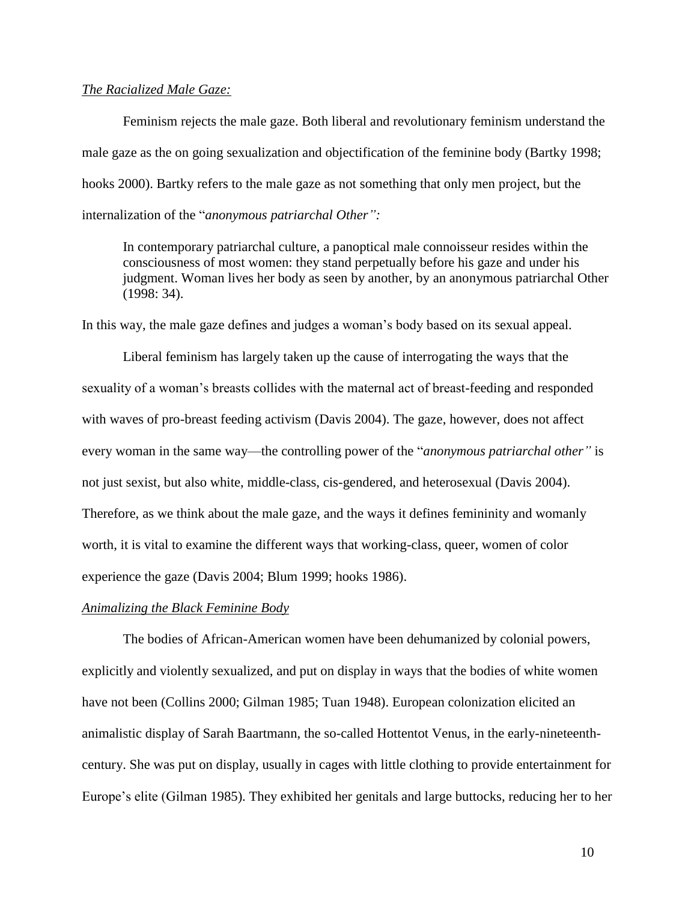# *The Racialized Male Gaze:*

Feminism rejects the male gaze. Both liberal and revolutionary feminism understand the male gaze as the on going sexualization and objectification of the feminine body (Bartky 1998; hooks 2000). Bartky refers to the male gaze as not something that only men project, but the internalization of the "*anonymous patriarchal Other":* 

In contemporary patriarchal culture, a panoptical male connoisseur resides within the consciousness of most women: they stand perpetually before his gaze and under his judgment. Woman lives her body as seen by another, by an anonymous patriarchal Other (1998: 34).

In this way, the male gaze defines and judges a woman's body based on its sexual appeal.

Liberal feminism has largely taken up the cause of interrogating the ways that the sexuality of a woman's breasts collides with the maternal act of breast-feeding and responded with waves of pro-breast feeding activism (Davis 2004). The gaze, however, does not affect every woman in the same way—the controlling power of the "*anonymous patriarchal other"* is not just sexist, but also white, middle-class, cis-gendered, and heterosexual (Davis 2004). Therefore, as we think about the male gaze, and the ways it defines femininity and womanly worth, it is vital to examine the different ways that working-class, queer, women of color experience the gaze (Davis 2004; Blum 1999; hooks 1986).

# *Animalizing the Black Feminine Body*

The bodies of African-American women have been dehumanized by colonial powers, explicitly and violently sexualized, and put on display in ways that the bodies of white women have not been (Collins 2000; Gilman 1985; Tuan 1948). European colonization elicited an animalistic display of Sarah Baartmann, the so-called Hottentot Venus, in the early-nineteenthcentury. She was put on display, usually in cages with little clothing to provide entertainment for Europe's elite (Gilman 1985). They exhibited her genitals and large buttocks, reducing her to her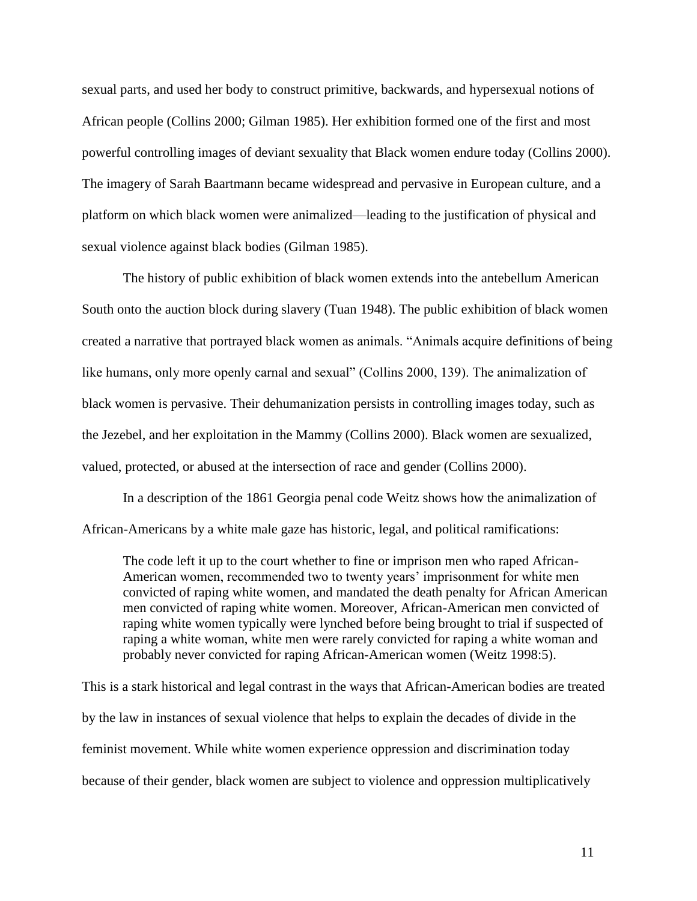sexual parts, and used her body to construct primitive, backwards, and hypersexual notions of African people (Collins 2000; Gilman 1985). Her exhibition formed one of the first and most powerful controlling images of deviant sexuality that Black women endure today (Collins 2000). The imagery of Sarah Baartmann became widespread and pervasive in European culture, and a platform on which black women were animalized—leading to the justification of physical and sexual violence against black bodies (Gilman 1985).

The history of public exhibition of black women extends into the antebellum American South onto the auction block during slavery (Tuan 1948). The public exhibition of black women created a narrative that portrayed black women as animals. "Animals acquire definitions of being like humans, only more openly carnal and sexual" (Collins 2000, 139). The animalization of black women is pervasive. Their dehumanization persists in controlling images today, such as the Jezebel, and her exploitation in the Mammy (Collins 2000). Black women are sexualized, valued, protected, or abused at the intersection of race and gender (Collins 2000).

In a description of the 1861 Georgia penal code Weitz shows how the animalization of African-Americans by a white male gaze has historic, legal, and political ramifications:

The code left it up to the court whether to fine or imprison men who raped African-American women, recommended two to twenty years' imprisonment for white men convicted of raping white women, and mandated the death penalty for African American men convicted of raping white women. Moreover, African-American men convicted of raping white women typically were lynched before being brought to trial if suspected of raping a white woman, white men were rarely convicted for raping a white woman and probably never convicted for raping African-American women (Weitz 1998:5).

This is a stark historical and legal contrast in the ways that African-American bodies are treated by the law in instances of sexual violence that helps to explain the decades of divide in the feminist movement. While white women experience oppression and discrimination today because of their gender, black women are subject to violence and oppression multiplicatively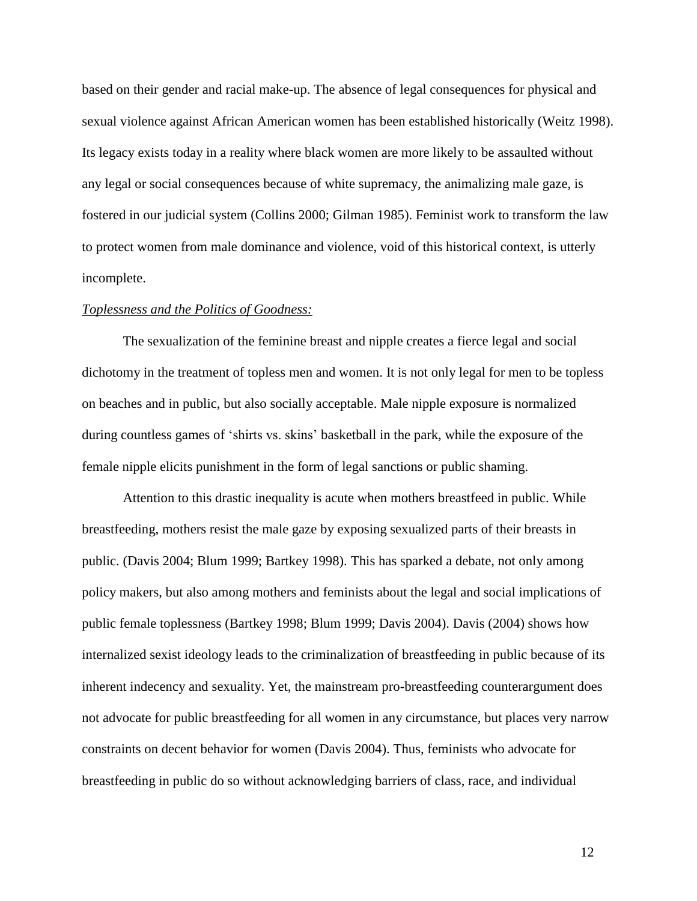based on their gender and racial make-up. The absence of legal consequences for physical and sexual violence against African American women has been established historically (Weitz 1998). Its legacy exists today in a reality where black women are more likely to be assaulted without any legal or social consequences because of white supremacy, the animalizing male gaze, is fostered in our judicial system (Collins 2000; Gilman 1985). Feminist work to transform the law to protect women from male dominance and violence, void of this historical context, is utterly incomplete.

#### *Toplessness and the Politics of Goodness:*

The sexualization of the feminine breast and nipple creates a fierce legal and social dichotomy in the treatment of topless men and women. It is not only legal for men to be topless on beaches and in public, but also socially acceptable. Male nipple exposure is normalized during countless games of 'shirts vs. skins' basketball in the park, while the exposure of the female nipple elicits punishment in the form of legal sanctions or public shaming.

Attention to this drastic inequality is acute when mothers breastfeed in public. While breastfeeding, mothers resist the male gaze by exposing sexualized parts of their breasts in public. (Davis 2004; Blum 1999; Bartkey 1998). This has sparked a debate, not only among policy makers, but also among mothers and feminists about the legal and social implications of public female toplessness (Bartkey 1998; Blum 1999; Davis 2004). Davis (2004) shows how internalized sexist ideology leads to the criminalization of breastfeeding in public because of its inherent indecency and sexuality. Yet, the mainstream pro-breastfeeding counterargument does not advocate for public breastfeeding for all women in any circumstance, but places very narrow constraints on decent behavior for women (Davis 2004). Thus, feminists who advocate for breastfeeding in public do so without acknowledging barriers of class, race, and individual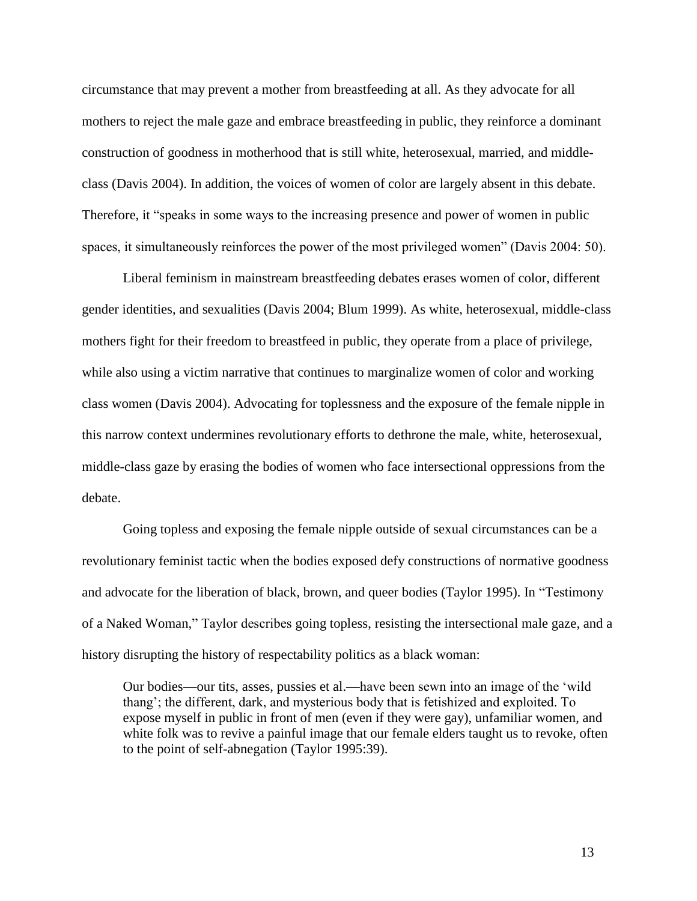circumstance that may prevent a mother from breastfeeding at all. As they advocate for all mothers to reject the male gaze and embrace breastfeeding in public, they reinforce a dominant construction of goodness in motherhood that is still white, heterosexual, married, and middleclass (Davis 2004). In addition, the voices of women of color are largely absent in this debate. Therefore, it "speaks in some ways to the increasing presence and power of women in public spaces, it simultaneously reinforces the power of the most privileged women" (Davis 2004: 50).

Liberal feminism in mainstream breastfeeding debates erases women of color, different gender identities, and sexualities (Davis 2004; Blum 1999). As white, heterosexual, middle-class mothers fight for their freedom to breastfeed in public, they operate from a place of privilege, while also using a victim narrative that continues to marginalize women of color and working class women (Davis 2004). Advocating for toplessness and the exposure of the female nipple in this narrow context undermines revolutionary efforts to dethrone the male, white, heterosexual, middle-class gaze by erasing the bodies of women who face intersectional oppressions from the debate.

Going topless and exposing the female nipple outside of sexual circumstances can be a revolutionary feminist tactic when the bodies exposed defy constructions of normative goodness and advocate for the liberation of black, brown, and queer bodies (Taylor 1995). In "Testimony of a Naked Woman," Taylor describes going topless, resisting the intersectional male gaze, and a history disrupting the history of respectability politics as a black woman:

Our bodies—our tits, asses, pussies et al.—have been sewn into an image of the 'wild thang'; the different, dark, and mysterious body that is fetishized and exploited. To expose myself in public in front of men (even if they were gay), unfamiliar women, and white folk was to revive a painful image that our female elders taught us to revoke, often to the point of self-abnegation (Taylor 1995:39).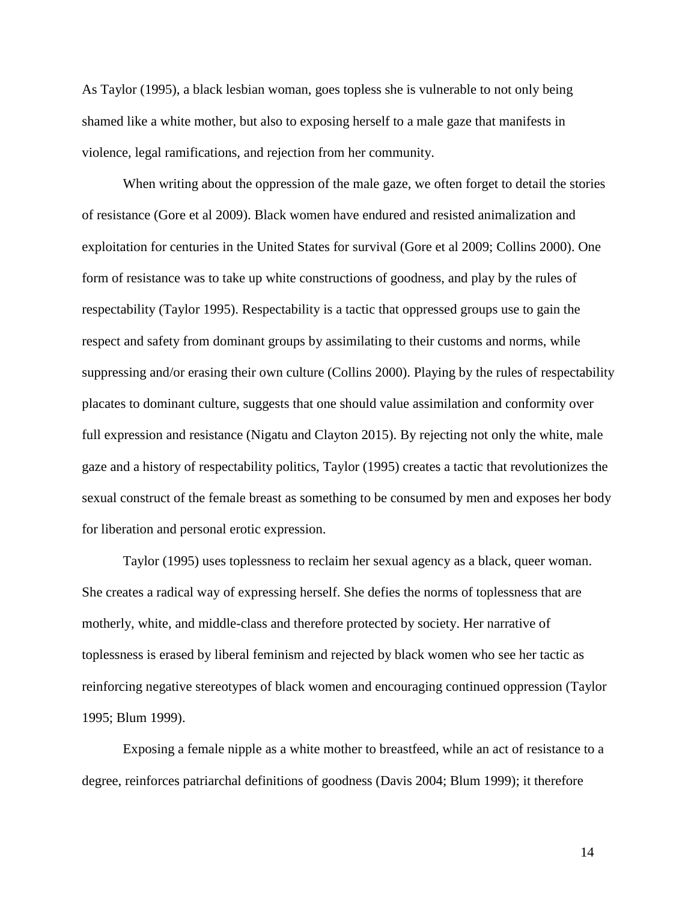As Taylor (1995), a black lesbian woman, goes topless she is vulnerable to not only being shamed like a white mother, but also to exposing herself to a male gaze that manifests in violence, legal ramifications, and rejection from her community.

When writing about the oppression of the male gaze, we often forget to detail the stories of resistance (Gore et al 2009). Black women have endured and resisted animalization and exploitation for centuries in the United States for survival (Gore et al 2009; Collins 2000). One form of resistance was to take up white constructions of goodness, and play by the rules of respectability (Taylor 1995). Respectability is a tactic that oppressed groups use to gain the respect and safety from dominant groups by assimilating to their customs and norms, while suppressing and/or erasing their own culture (Collins 2000). Playing by the rules of respectability placates to dominant culture, suggests that one should value assimilation and conformity over full expression and resistance (Nigatu and Clayton 2015). By rejecting not only the white, male gaze and a history of respectability politics, Taylor (1995) creates a tactic that revolutionizes the sexual construct of the female breast as something to be consumed by men and exposes her body for liberation and personal erotic expression.

Taylor (1995) uses toplessness to reclaim her sexual agency as a black, queer woman. She creates a radical way of expressing herself. She defies the norms of toplessness that are motherly, white, and middle-class and therefore protected by society. Her narrative of toplessness is erased by liberal feminism and rejected by black women who see her tactic as reinforcing negative stereotypes of black women and encouraging continued oppression (Taylor 1995; Blum 1999).

Exposing a female nipple as a white mother to breastfeed, while an act of resistance to a degree, reinforces patriarchal definitions of goodness (Davis 2004; Blum 1999); it therefore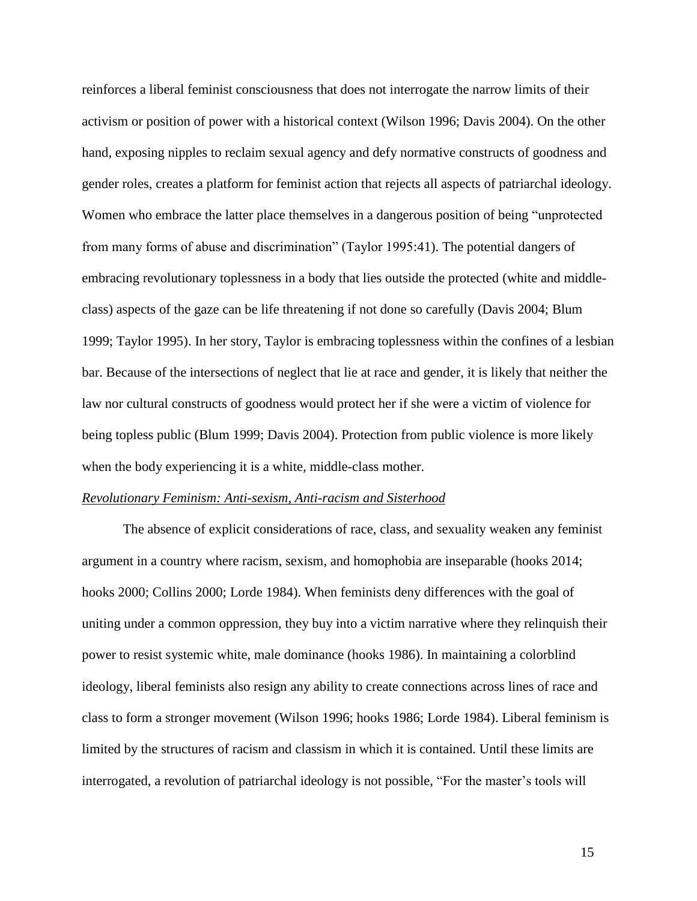reinforces a liberal feminist consciousness that does not interrogate the narrow limits of their activism or position of power with a historical context (Wilson 1996; Davis 2004). On the other hand, exposing nipples to reclaim sexual agency and defy normative constructs of goodness and gender roles, creates a platform for feminist action that rejects all aspects of patriarchal ideology. Women who embrace the latter place themselves in a dangerous position of being "unprotected from many forms of abuse and discrimination" (Taylor 1995:41). The potential dangers of embracing revolutionary toplessness in a body that lies outside the protected (white and middleclass) aspects of the gaze can be life threatening if not done so carefully (Davis 2004; Blum 1999; Taylor 1995). In her story, Taylor is embracing toplessness within the confines of a lesbian bar. Because of the intersections of neglect that lie at race and gender, it is likely that neither the law nor cultural constructs of goodness would protect her if she were a victim of violence for being topless public (Blum 1999; Davis 2004). Protection from public violence is more likely when the body experiencing it is a white, middle-class mother.

#### *Revolutionary Feminism: Anti-sexism, Anti-racism and Sisterhood*

The absence of explicit considerations of race, class, and sexuality weaken any feminist argument in a country where racism, sexism, and homophobia are inseparable (hooks 2014; hooks 2000; Collins 2000; Lorde 1984). When feminists deny differences with the goal of uniting under a common oppression, they buy into a victim narrative where they relinquish their power to resist systemic white, male dominance (hooks 1986). In maintaining a colorblind ideology, liberal feminists also resign any ability to create connections across lines of race and class to form a stronger movement (Wilson 1996; hooks 1986; Lorde 1984). Liberal feminism is limited by the structures of racism and classism in which it is contained. Until these limits are interrogated, a revolution of patriarchal ideology is not possible, "For the master's tools will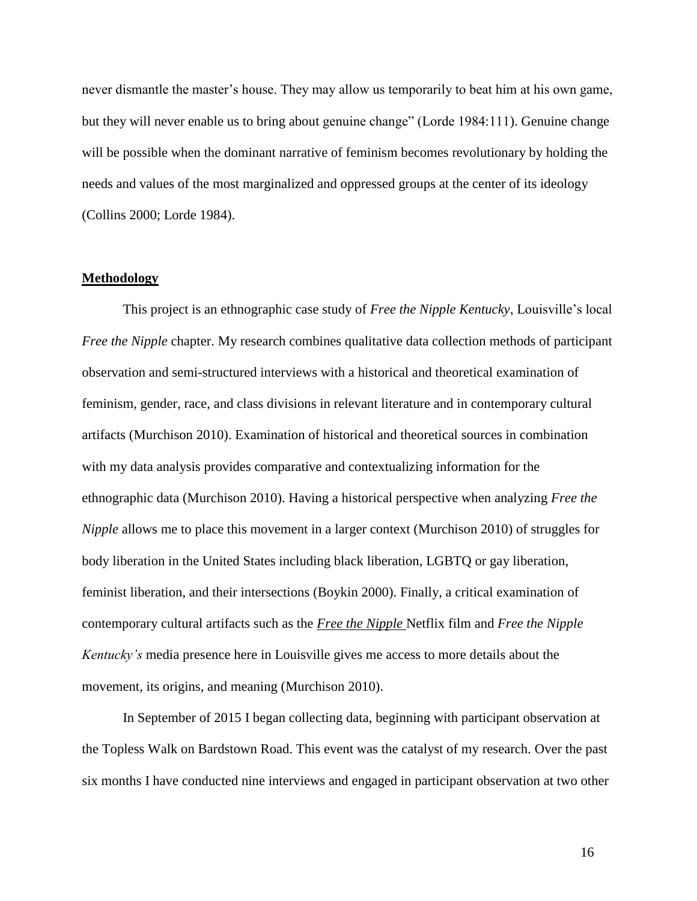never dismantle the master's house. They may allow us temporarily to beat him at his own game, but they will never enable us to bring about genuine change" (Lorde 1984:111). Genuine change will be possible when the dominant narrative of feminism becomes revolutionary by holding the needs and values of the most marginalized and oppressed groups at the center of its ideology (Collins 2000; Lorde 1984).

### **Methodology**

This project is an ethnographic case study of *Free the Nipple Kentucky*, Louisville's local *Free the Nipple* chapter. My research combines qualitative data collection methods of participant observation and semi-structured interviews with a historical and theoretical examination of feminism, gender, race, and class divisions in relevant literature and in contemporary cultural artifacts (Murchison 2010). Examination of historical and theoretical sources in combination with my data analysis provides comparative and contextualizing information for the ethnographic data (Murchison 2010). Having a historical perspective when analyzing *Free the Nipple* allows me to place this movement in a larger context (Murchison 2010) of struggles for body liberation in the United States including black liberation, LGBTQ or gay liberation, feminist liberation, and their intersections (Boykin 2000). Finally, a critical examination of contemporary cultural artifacts such as the *Free the Nipple* Netflix film and *Free the Nipple Kentucky's* media presence here in Louisville gives me access to more details about the movement, its origins, and meaning (Murchison 2010).

In September of 2015 I began collecting data, beginning with participant observation at the Topless Walk on Bardstown Road. This event was the catalyst of my research. Over the past six months I have conducted nine interviews and engaged in participant observation at two other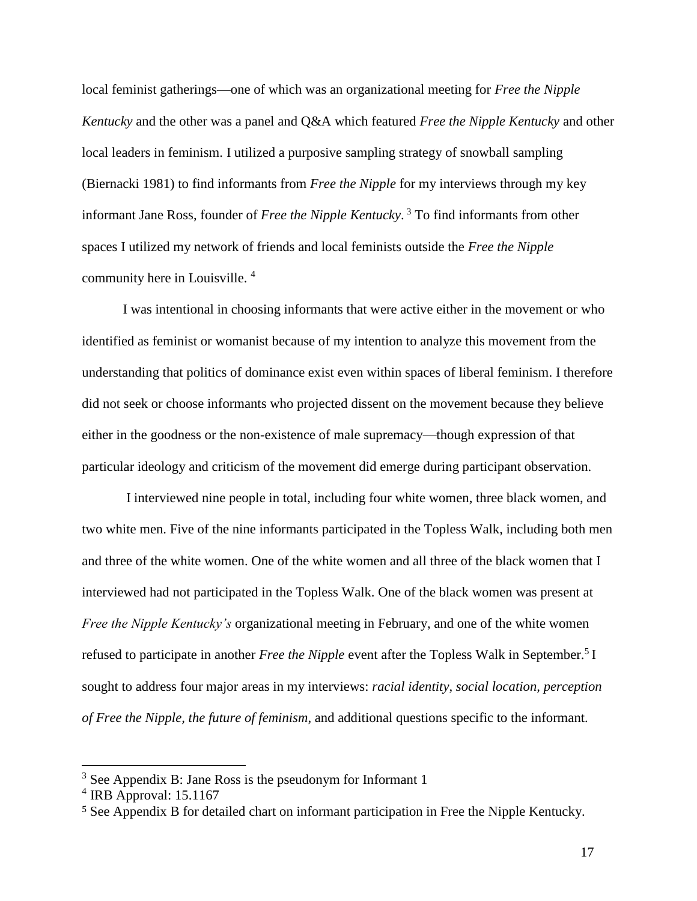local feminist gatherings—one of which was an organizational meeting for *Free the Nipple Kentucky* and the other was a panel and Q&A which featured *Free the Nipple Kentucky* and other local leaders in feminism. I utilized a purposive sampling strategy of snowball sampling (Biernacki 1981) to find informants from *Free the Nipple* for my interviews through my key informant Jane Ross, founder of *Free the Nipple Kentucky*. <sup>3</sup> To find informants from other spaces I utilized my network of friends and local feminists outside the *Free the Nipple* community here in Louisville. <sup>4</sup>

I was intentional in choosing informants that were active either in the movement or who identified as feminist or womanist because of my intention to analyze this movement from the understanding that politics of dominance exist even within spaces of liberal feminism. I therefore did not seek or choose informants who projected dissent on the movement because they believe either in the goodness or the non-existence of male supremacy—though expression of that particular ideology and criticism of the movement did emerge during participant observation.

I interviewed nine people in total, including four white women, three black women, and two white men. Five of the nine informants participated in the Topless Walk, including both men and three of the white women. One of the white women and all three of the black women that I interviewed had not participated in the Topless Walk. One of the black women was present at *Free the Nipple Kentucky's* organizational meeting in February, and one of the white women refused to participate in another *Free the Nipple* event after the Topless Walk in September.<sup>5</sup> I sought to address four major areas in my interviews: *racial identity, social location, perception of Free the Nipple, the future of feminism*, and additional questions specific to the informant.

 $\overline{\phantom{a}}$ 

<sup>&</sup>lt;sup>3</sup> See Appendix B: Jane Ross is the pseudonym for Informant 1

<sup>4</sup> IRB Approval: 15.1167

<sup>5</sup> See Appendix B for detailed chart on informant participation in Free the Nipple Kentucky.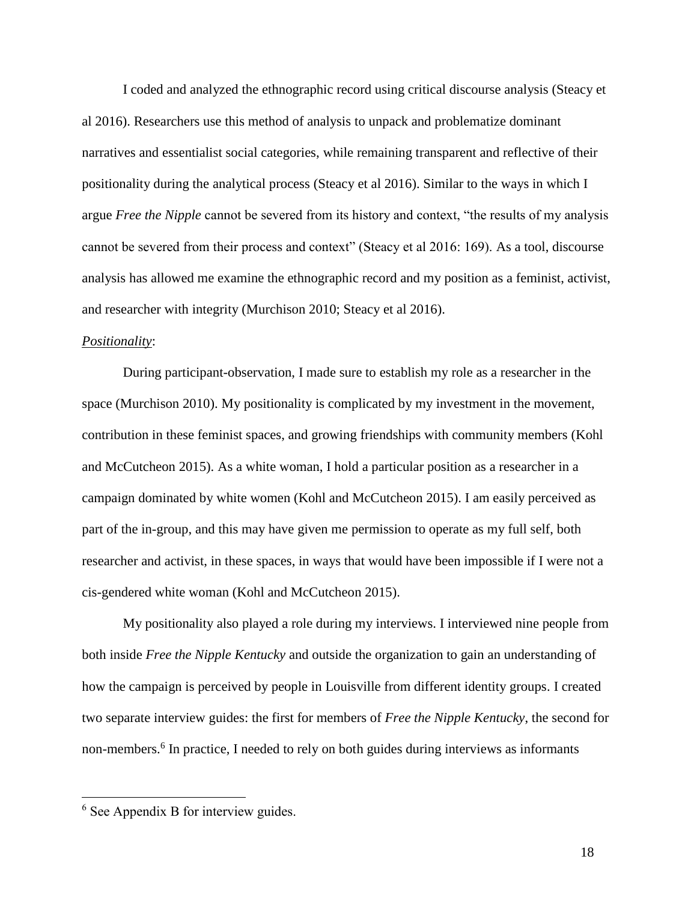I coded and analyzed the ethnographic record using critical discourse analysis (Steacy et al 2016). Researchers use this method of analysis to unpack and problematize dominant narratives and essentialist social categories, while remaining transparent and reflective of their positionality during the analytical process (Steacy et al 2016). Similar to the ways in which I argue *Free the Nipple* cannot be severed from its history and context, "the results of my analysis cannot be severed from their process and context" (Steacy et al 2016: 169). As a tool, discourse analysis has allowed me examine the ethnographic record and my position as a feminist, activist, and researcher with integrity (Murchison 2010; Steacy et al 2016).

# *Positionality*:

During participant-observation, I made sure to establish my role as a researcher in the space (Murchison 2010). My positionality is complicated by my investment in the movement, contribution in these feminist spaces, and growing friendships with community members (Kohl and McCutcheon 2015). As a white woman, I hold a particular position as a researcher in a campaign dominated by white women (Kohl and McCutcheon 2015). I am easily perceived as part of the in-group, and this may have given me permission to operate as my full self, both researcher and activist, in these spaces, in ways that would have been impossible if I were not a cis-gendered white woman (Kohl and McCutcheon 2015).

My positionality also played a role during my interviews. I interviewed nine people from both inside *Free the Nipple Kentucky* and outside the organization to gain an understanding of how the campaign is perceived by people in Louisville from different identity groups. I created two separate interview guides: the first for members of *Free the Nipple Kentucky*, the second for non-members.<sup>6</sup> In practice, I needed to rely on both guides during interviews as informants

 $\overline{\phantom{a}}$ 

 $6$  See Appendix B for interview guides.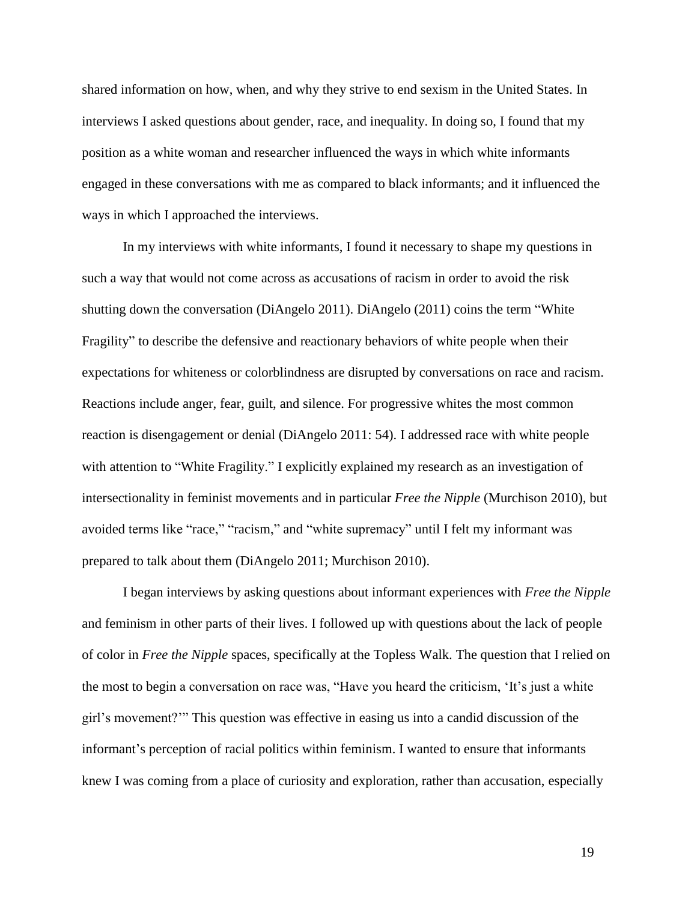shared information on how, when, and why they strive to end sexism in the United States. In interviews I asked questions about gender, race, and inequality. In doing so, I found that my position as a white woman and researcher influenced the ways in which white informants engaged in these conversations with me as compared to black informants; and it influenced the ways in which I approached the interviews.

In my interviews with white informants, I found it necessary to shape my questions in such a way that would not come across as accusations of racism in order to avoid the risk shutting down the conversation (DiAngelo 2011). DiAngelo (2011) coins the term "White Fragility" to describe the defensive and reactionary behaviors of white people when their expectations for whiteness or colorblindness are disrupted by conversations on race and racism. Reactions include anger, fear, guilt, and silence. For progressive whites the most common reaction is disengagement or denial (DiAngelo 2011: 54). I addressed race with white people with attention to "White Fragility." I explicitly explained my research as an investigation of intersectionality in feminist movements and in particular *Free the Nipple* (Murchison 2010)*,* but avoided terms like "race," "racism," and "white supremacy" until I felt my informant was prepared to talk about them (DiAngelo 2011; Murchison 2010).

I began interviews by asking questions about informant experiences with *Free the Nipple* and feminism in other parts of their lives. I followed up with questions about the lack of people of color in *Free the Nipple* spaces, specifically at the Topless Walk. The question that I relied on the most to begin a conversation on race was, "Have you heard the criticism, 'It's just a white girl's movement?'" This question was effective in easing us into a candid discussion of the informant's perception of racial politics within feminism. I wanted to ensure that informants knew I was coming from a place of curiosity and exploration, rather than accusation, especially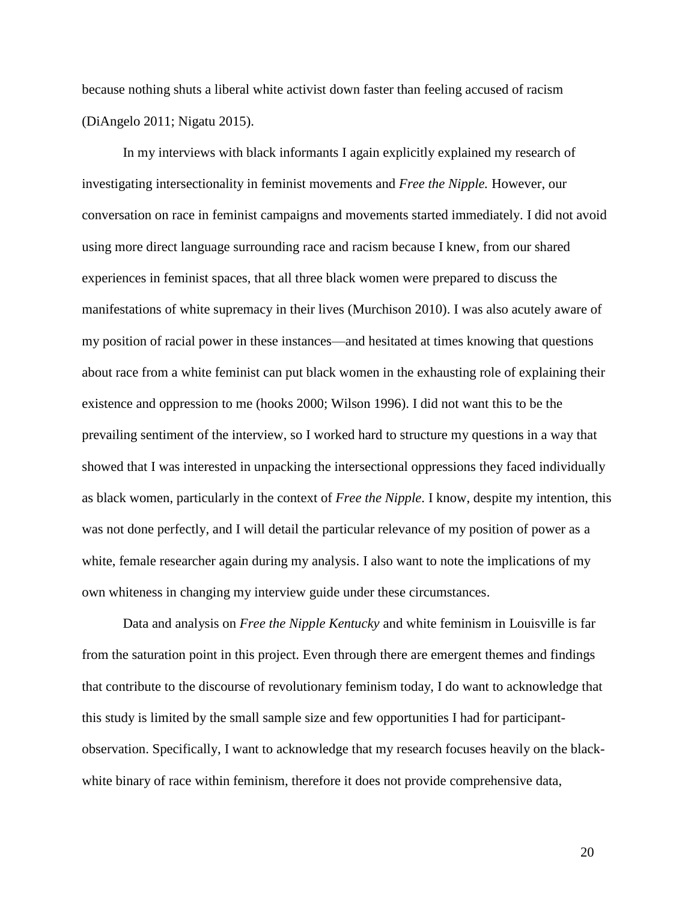because nothing shuts a liberal white activist down faster than feeling accused of racism (DiAngelo 2011; Nigatu 2015).

In my interviews with black informants I again explicitly explained my research of investigating intersectionality in feminist movements and *Free the Nipple.* However, our conversation on race in feminist campaigns and movements started immediately. I did not avoid using more direct language surrounding race and racism because I knew, from our shared experiences in feminist spaces, that all three black women were prepared to discuss the manifestations of white supremacy in their lives (Murchison 2010). I was also acutely aware of my position of racial power in these instances—and hesitated at times knowing that questions about race from a white feminist can put black women in the exhausting role of explaining their existence and oppression to me (hooks 2000; Wilson 1996). I did not want this to be the prevailing sentiment of the interview, so I worked hard to structure my questions in a way that showed that I was interested in unpacking the intersectional oppressions they faced individually as black women, particularly in the context of *Free the Nipple*. I know, despite my intention, this was not done perfectly, and I will detail the particular relevance of my position of power as a white, female researcher again during my analysis. I also want to note the implications of my own whiteness in changing my interview guide under these circumstances.

Data and analysis on *Free the Nipple Kentucky* and white feminism in Louisville is far from the saturation point in this project. Even through there are emergent themes and findings that contribute to the discourse of revolutionary feminism today, I do want to acknowledge that this study is limited by the small sample size and few opportunities I had for participantobservation. Specifically, I want to acknowledge that my research focuses heavily on the blackwhite binary of race within feminism, therefore it does not provide comprehensive data,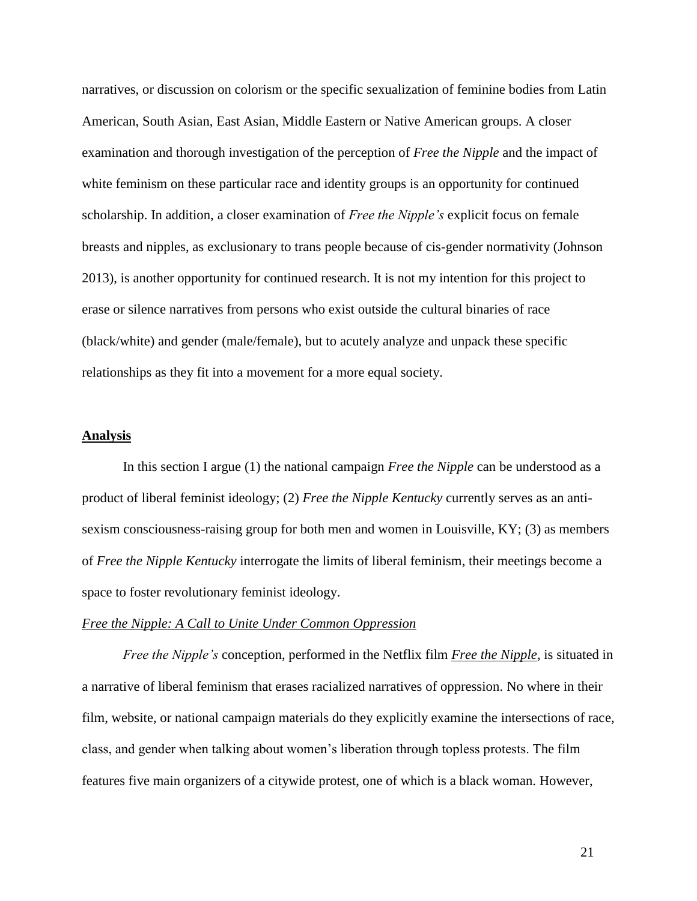narratives, or discussion on colorism or the specific sexualization of feminine bodies from Latin American, South Asian, East Asian, Middle Eastern or Native American groups. A closer examination and thorough investigation of the perception of *Free the Nipple* and the impact of white feminism on these particular race and identity groups is an opportunity for continued scholarship. In addition, a closer examination of *Free the Nipple's* explicit focus on female breasts and nipples, as exclusionary to trans people because of cis-gender normativity (Johnson 2013), is another opportunity for continued research. It is not my intention for this project to erase or silence narratives from persons who exist outside the cultural binaries of race (black/white) and gender (male/female), but to acutely analyze and unpack these specific relationships as they fit into a movement for a more equal society.

### **Analysis**

In this section I argue (1) the national campaign *Free the Nipple* can be understood as a product of liberal feminist ideology; (2) *Free the Nipple Kentucky* currently serves as an antisexism consciousness-raising group for both men and women in Louisville, KY; (3) as members of *Free the Nipple Kentucky* interrogate the limits of liberal feminism, their meetings become a space to foster revolutionary feminist ideology.

# *Free the Nipple: A Call to Unite Under Common Oppression*

*Free the Nipple's* conception, performed in the Netflix film *Free the Nipple,* is situated in a narrative of liberal feminism that erases racialized narratives of oppression. No where in their film, website, or national campaign materials do they explicitly examine the intersections of race, class, and gender when talking about women's liberation through topless protests. The film features five main organizers of a citywide protest, one of which is a black woman. However,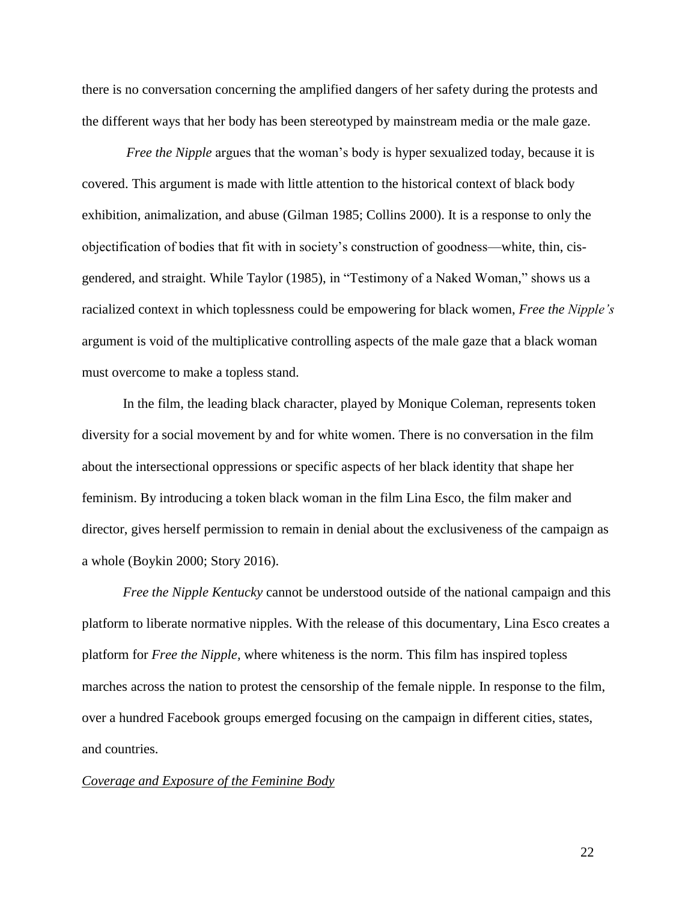there is no conversation concerning the amplified dangers of her safety during the protests and the different ways that her body has been stereotyped by mainstream media or the male gaze.

*Free the Nipple* argues that the woman's body is hyper sexualized today, because it is covered. This argument is made with little attention to the historical context of black body exhibition, animalization, and abuse (Gilman 1985; Collins 2000). It is a response to only the objectification of bodies that fit with in society's construction of goodness—white, thin, cisgendered, and straight. While Taylor (1985), in "Testimony of a Naked Woman," shows us a racialized context in which toplessness could be empowering for black women, *Free the Nipple's*  argument is void of the multiplicative controlling aspects of the male gaze that a black woman must overcome to make a topless stand.

In the film, the leading black character, played by Monique Coleman, represents token diversity for a social movement by and for white women. There is no conversation in the film about the intersectional oppressions or specific aspects of her black identity that shape her feminism. By introducing a token black woman in the film Lina Esco, the film maker and director, gives herself permission to remain in denial about the exclusiveness of the campaign as a whole (Boykin 2000; Story 2016).

*Free the Nipple Kentucky* cannot be understood outside of the national campaign and this platform to liberate normative nipples. With the release of this documentary, Lina Esco creates a platform for *Free the Nipple,* where whiteness is the norm. This film has inspired topless marches across the nation to protest the censorship of the female nipple. In response to the film, over a hundred Facebook groups emerged focusing on the campaign in different cities, states, and countries.

#### *Coverage and Exposure of the Feminine Body*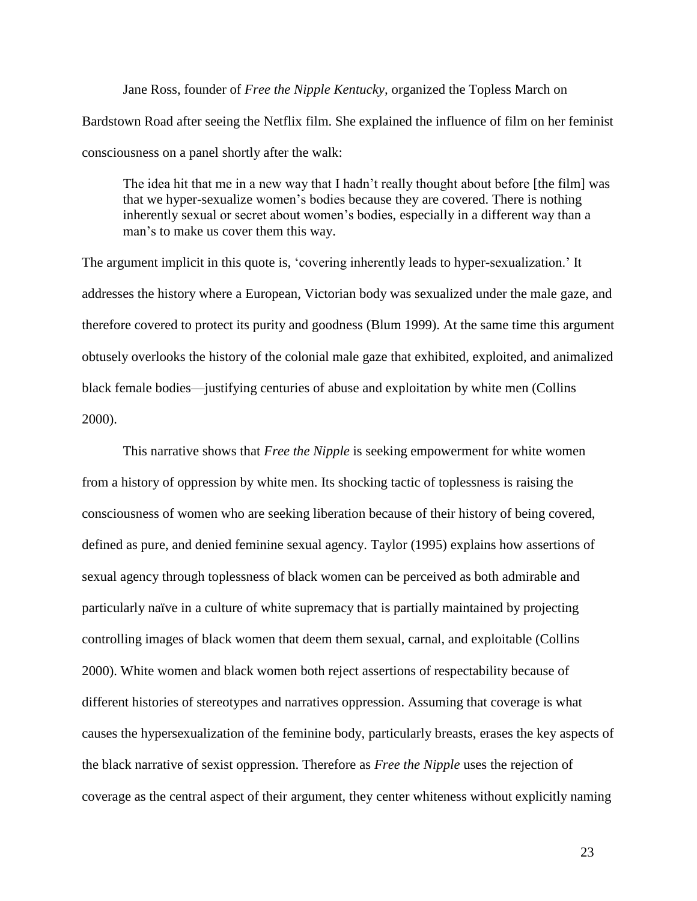Jane Ross, founder of *Free the Nipple Kentucky,* organized the Topless March on Bardstown Road after seeing the Netflix film. She explained the influence of film on her feminist consciousness on a panel shortly after the walk:

The idea hit that me in a new way that I hadn't really thought about before [the film] was that we hyper-sexualize women's bodies because they are covered. There is nothing inherently sexual or secret about women's bodies, especially in a different way than a man's to make us cover them this way.

The argument implicit in this quote is, 'covering inherently leads to hyper-sexualization.' It addresses the history where a European, Victorian body was sexualized under the male gaze, and therefore covered to protect its purity and goodness (Blum 1999). At the same time this argument obtusely overlooks the history of the colonial male gaze that exhibited, exploited, and animalized black female bodies—justifying centuries of abuse and exploitation by white men (Collins 2000).

This narrative shows that *Free the Nipple* is seeking empowerment for white women from a history of oppression by white men. Its shocking tactic of toplessness is raising the consciousness of women who are seeking liberation because of their history of being covered, defined as pure, and denied feminine sexual agency. Taylor (1995) explains how assertions of sexual agency through toplessness of black women can be perceived as both admirable and particularly naïve in a culture of white supremacy that is partially maintained by projecting controlling images of black women that deem them sexual, carnal, and exploitable (Collins 2000). White women and black women both reject assertions of respectability because of different histories of stereotypes and narratives oppression. Assuming that coverage is what causes the hypersexualization of the feminine body, particularly breasts, erases the key aspects of the black narrative of sexist oppression. Therefore as *Free the Nipple* uses the rejection of coverage as the central aspect of their argument, they center whiteness without explicitly naming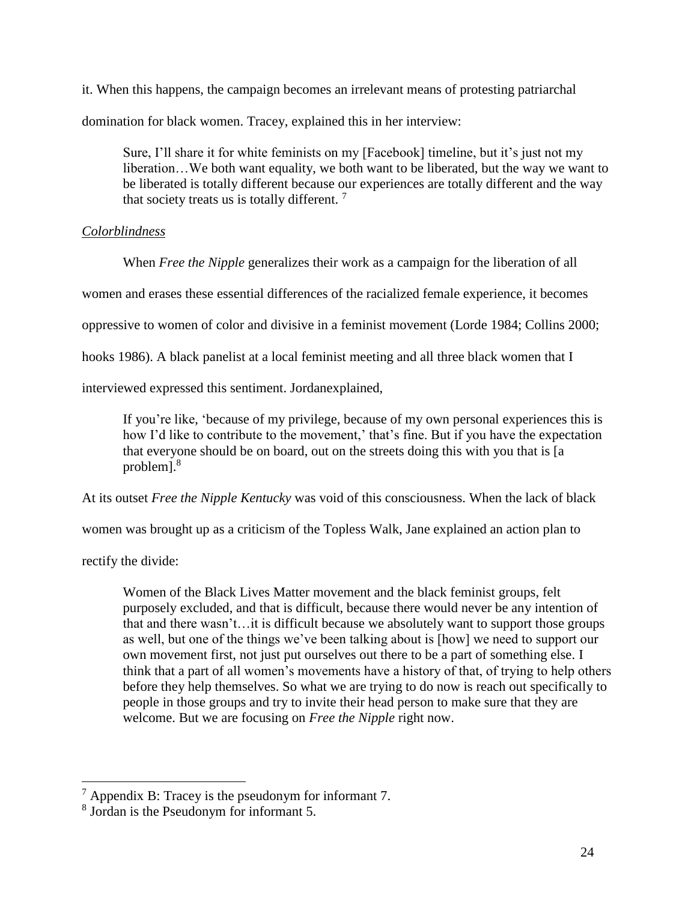it. When this happens, the campaign becomes an irrelevant means of protesting patriarchal domination for black women. Tracey, explained this in her interview:

Sure, I'll share it for white feminists on my [Facebook] timeline, but it's just not my liberation…We both want equality, we both want to be liberated, but the way we want to be liberated is totally different because our experiences are totally different and the way that society treats us is totally different.<sup>7</sup>

# *Colorblindness*

When *Free the Nipple* generalizes their work as a campaign for the liberation of all

women and erases these essential differences of the racialized female experience, it becomes

oppressive to women of color and divisive in a feminist movement (Lorde 1984; Collins 2000;

hooks 1986). A black panelist at a local feminist meeting and all three black women that I

interviewed expressed this sentiment. Jordanexplained,

If you're like, 'because of my privilege, because of my own personal experiences this is how I'd like to contribute to the movement,' that's fine. But if you have the expectation that everyone should be on board, out on the streets doing this with you that is [a problem]. 8

At its outset *Free the Nipple Kentucky* was void of this consciousness. When the lack of black

women was brought up as a criticism of the Topless Walk, Jane explained an action plan to

rectify the divide:

 $\overline{\phantom{a}}$ 

Women of the Black Lives Matter movement and the black feminist groups, felt purposely excluded, and that is difficult, because there would never be any intention of that and there wasn't…it is difficult because we absolutely want to support those groups as well, but one of the things we've been talking about is [how] we need to support our own movement first, not just put ourselves out there to be a part of something else. I think that a part of all women's movements have a history of that, of trying to help others before they help themselves. So what we are trying to do now is reach out specifically to people in those groups and try to invite their head person to make sure that they are welcome. But we are focusing on *Free the Nipple* right now.

<sup>7</sup> Appendix B: Tracey is the pseudonym for informant 7.

<sup>8</sup> Jordan is the Pseudonym for informant 5.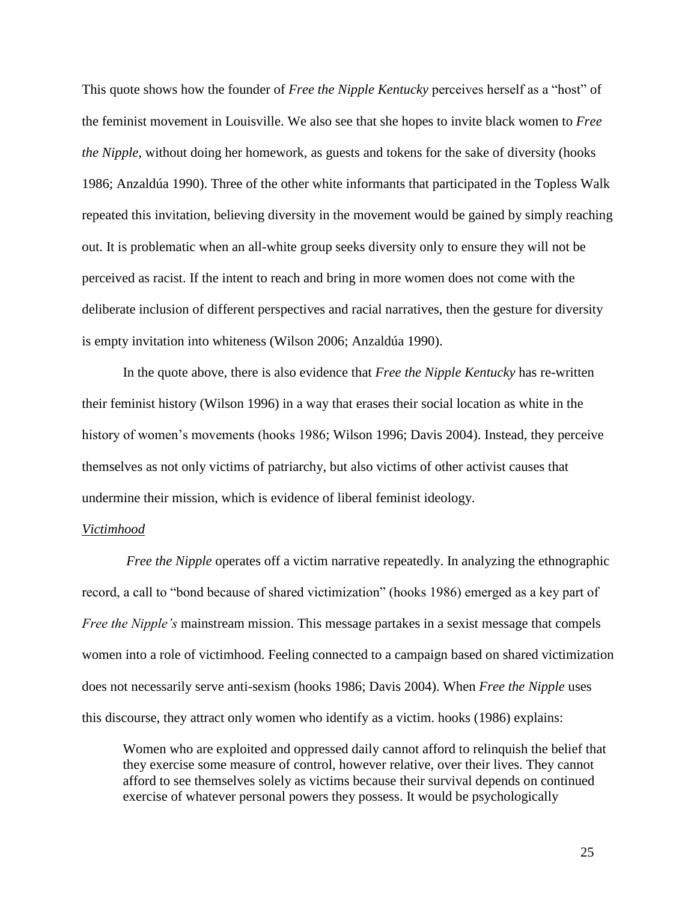This quote shows how the founder of *Free the Nipple Kentucky* perceives herself as a "host" of the feminist movement in Louisville. We also see that she hopes to invite black women to *Free the Nipple*, without doing her homework, as guests and tokens for the sake of diversity (hooks 1986; Anzaldúa 1990). Three of the other white informants that participated in the Topless Walk repeated this invitation, believing diversity in the movement would be gained by simply reaching out. It is problematic when an all-white group seeks diversity only to ensure they will not be perceived as racist. If the intent to reach and bring in more women does not come with the deliberate inclusion of different perspectives and racial narratives, then the gesture for diversity is empty invitation into whiteness (Wilson 2006; Anzaldúa 1990).

In the quote above, there is also evidence that *Free the Nipple Kentucky* has re-written their feminist history (Wilson 1996) in a way that erases their social location as white in the history of women's movements (hooks 1986; Wilson 1996; Davis 2004). Instead, they perceive themselves as not only victims of patriarchy, but also victims of other activist causes that undermine their mission, which is evidence of liberal feminist ideology.

#### *Victimhood*

*Free the Nipple* operates off a victim narrative repeatedly. In analyzing the ethnographic record, a call to "bond because of shared victimization" (hooks 1986) emerged as a key part of *Free the Nipple's* mainstream mission. This message partakes in a sexist message that compels women into a role of victimhood. Feeling connected to a campaign based on shared victimization does not necessarily serve anti-sexism (hooks 1986; Davis 2004). When *Free the Nipple* uses this discourse, they attract only women who identify as a victim. hooks (1986) explains:

Women who are exploited and oppressed daily cannot afford to relinquish the belief that they exercise some measure of control, however relative, over their lives. They cannot afford to see themselves solely as victims because their survival depends on continued exercise of whatever personal powers they possess. It would be psychologically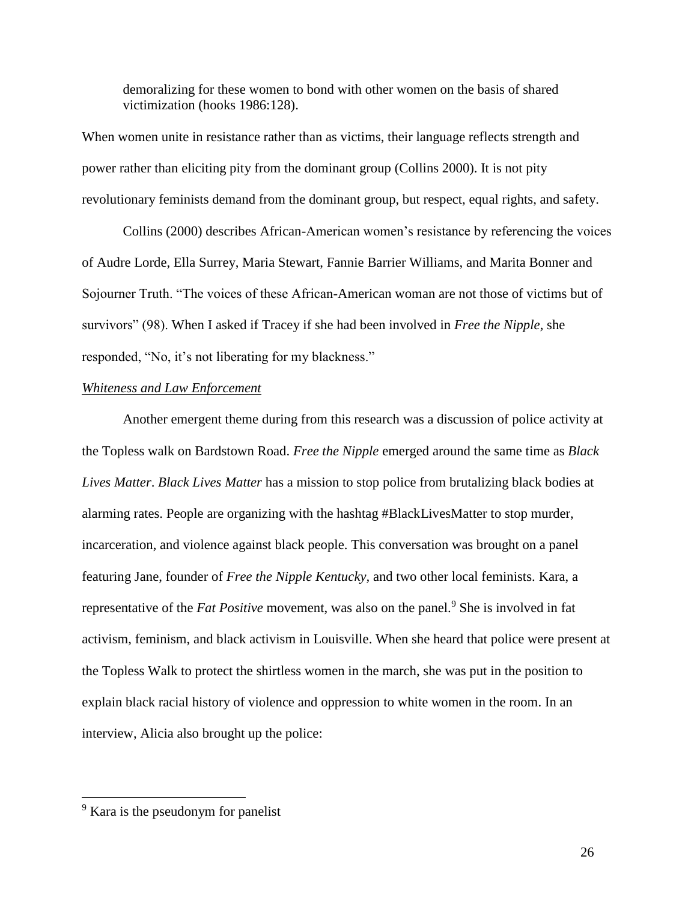demoralizing for these women to bond with other women on the basis of shared victimization (hooks 1986:128).

When women unite in resistance rather than as victims, their language reflects strength and power rather than eliciting pity from the dominant group (Collins 2000). It is not pity revolutionary feminists demand from the dominant group, but respect, equal rights, and safety.

Collins (2000) describes African-American women's resistance by referencing the voices of Audre Lorde, Ella Surrey, Maria Stewart, Fannie Barrier Williams, and Marita Bonner and Sojourner Truth. "The voices of these African-American woman are not those of victims but of survivors" (98). When I asked if Tracey if she had been involved in *Free the Nipple,* she responded, "No, it's not liberating for my blackness."

# *Whiteness and Law Enforcement*

Another emergent theme during from this research was a discussion of police activity at the Topless walk on Bardstown Road. *Free the Nipple* emerged around the same time as *Black Lives Matter*. *Black Lives Matter* has a mission to stop police from brutalizing black bodies at alarming rates. People are organizing with the hashtag #BlackLivesMatter to stop murder, incarceration, and violence against black people. This conversation was brought on a panel featuring Jane, founder of *Free the Nipple Kentucky,* and two other local feminists. Kara, a representative of the *Fat Positive* movement, was also on the panel.<sup>9</sup> She is involved in fat activism, feminism, and black activism in Louisville. When she heard that police were present at the Topless Walk to protect the shirtless women in the march, she was put in the position to explain black racial history of violence and oppression to white women in the room. In an interview, Alicia also brought up the police:

 $\overline{\phantom{a}}$ 

<sup>&</sup>lt;sup>9</sup> Kara is the pseudonym for panelist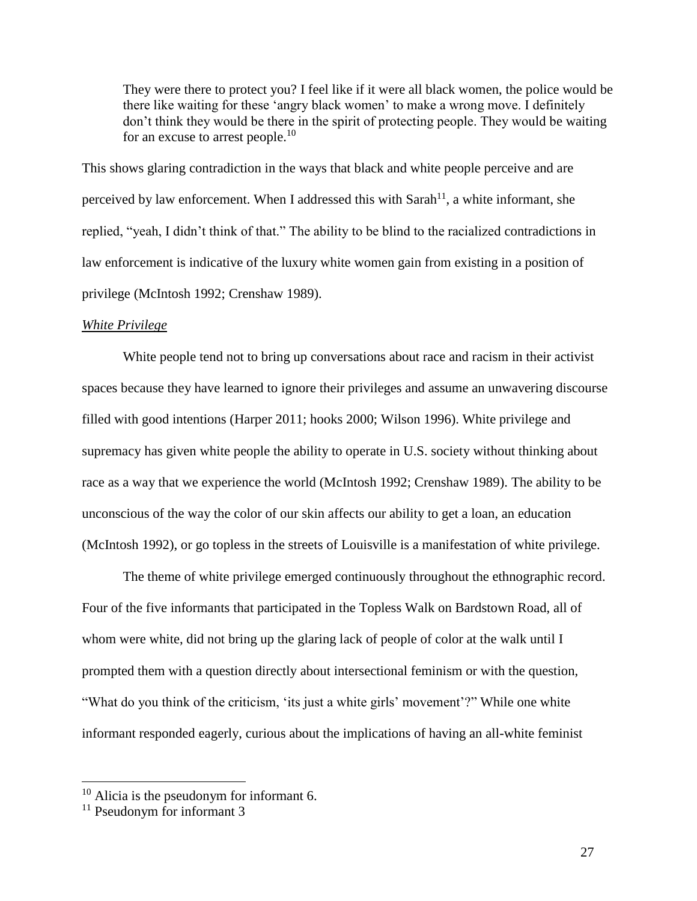They were there to protect you? I feel like if it were all black women, the police would be there like waiting for these 'angry black women' to make a wrong move. I definitely don't think they would be there in the spirit of protecting people. They would be waiting for an excuse to arrest people.<sup>10</sup>

This shows glaring contradiction in the ways that black and white people perceive and are perceived by law enforcement. When I addressed this with  $Sarah<sup>11</sup>$ , a white informant, she replied, "yeah, I didn't think of that." The ability to be blind to the racialized contradictions in law enforcement is indicative of the luxury white women gain from existing in a position of privilege (McIntosh 1992; Crenshaw 1989).

# *White Privilege*

White people tend not to bring up conversations about race and racism in their activist spaces because they have learned to ignore their privileges and assume an unwavering discourse filled with good intentions (Harper 2011; hooks 2000; Wilson 1996). White privilege and supremacy has given white people the ability to operate in U.S. society without thinking about race as a way that we experience the world (McIntosh 1992; Crenshaw 1989). The ability to be unconscious of the way the color of our skin affects our ability to get a loan, an education (McIntosh 1992), or go topless in the streets of Louisville is a manifestation of white privilege.

The theme of white privilege emerged continuously throughout the ethnographic record. Four of the five informants that participated in the Topless Walk on Bardstown Road, all of whom were white, did not bring up the glaring lack of people of color at the walk until I prompted them with a question directly about intersectional feminism or with the question, "What do you think of the criticism, 'its just a white girls' movement'?" While one white informant responded eagerly, curious about the implications of having an all-white feminist

 $\overline{\phantom{a}}$ 

 $10$  Alicia is the pseudonym for informant 6.

<sup>&</sup>lt;sup>11</sup> Pseudonym for informant 3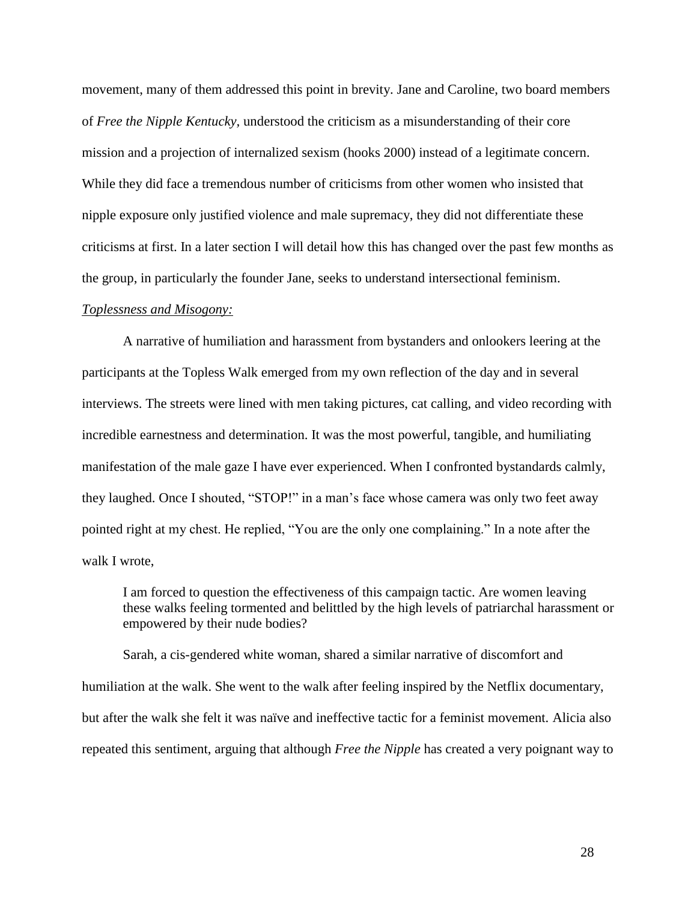movement, many of them addressed this point in brevity. Jane and Caroline, two board members of *Free the Nipple Kentucky,* understood the criticism as a misunderstanding of their core mission and a projection of internalized sexism (hooks 2000) instead of a legitimate concern. While they did face a tremendous number of criticisms from other women who insisted that nipple exposure only justified violence and male supremacy, they did not differentiate these criticisms at first. In a later section I will detail how this has changed over the past few months as the group, in particularly the founder Jane, seeks to understand intersectional feminism.

#### *Toplessness and Misogony:*

A narrative of humiliation and harassment from bystanders and onlookers leering at the participants at the Topless Walk emerged from my own reflection of the day and in several interviews. The streets were lined with men taking pictures, cat calling, and video recording with incredible earnestness and determination. It was the most powerful, tangible, and humiliating manifestation of the male gaze I have ever experienced. When I confronted bystandards calmly, they laughed. Once I shouted, "STOP!" in a man's face whose camera was only two feet away pointed right at my chest. He replied, "You are the only one complaining." In a note after the walk I wrote,

I am forced to question the effectiveness of this campaign tactic. Are women leaving these walks feeling tormented and belittled by the high levels of patriarchal harassment or empowered by their nude bodies?

Sarah, a cis-gendered white woman, shared a similar narrative of discomfort and humiliation at the walk. She went to the walk after feeling inspired by the Netflix documentary, but after the walk she felt it was naïve and ineffective tactic for a feminist movement. Alicia also repeated this sentiment, arguing that although *Free the Nipple* has created a very poignant way to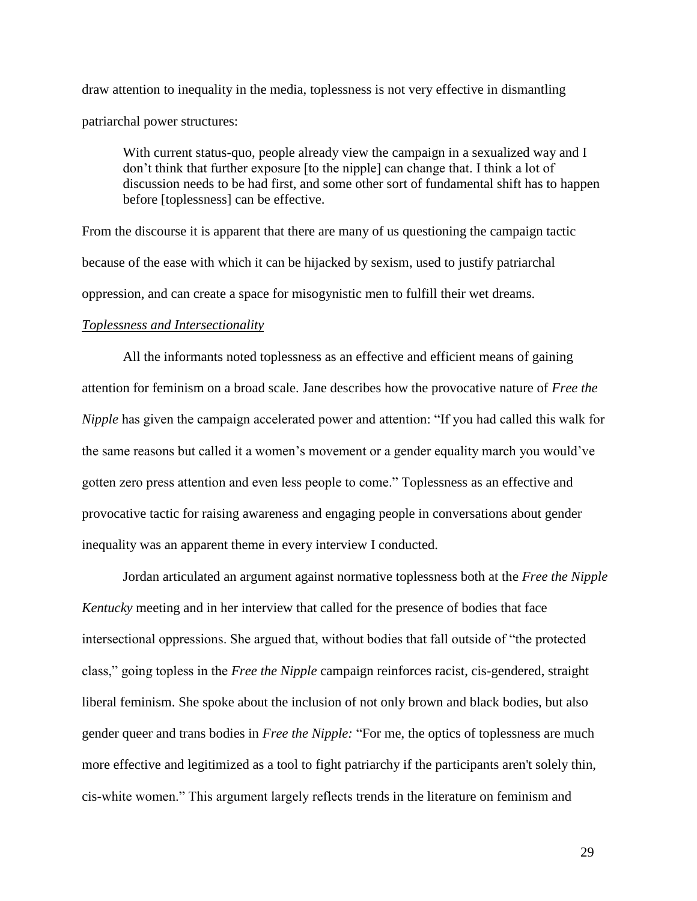draw attention to inequality in the media, toplessness is not very effective in dismantling patriarchal power structures:

With current status-quo, people already view the campaign in a sexualized way and I don't think that further exposure [to the nipple] can change that. I think a lot of discussion needs to be had first, and some other sort of fundamental shift has to happen before [toplessness] can be effective.

From the discourse it is apparent that there are many of us questioning the campaign tactic because of the ease with which it can be hijacked by sexism, used to justify patriarchal oppression, and can create a space for misogynistic men to fulfill their wet dreams.

#### *Toplessness and Intersectionality*

All the informants noted toplessness as an effective and efficient means of gaining attention for feminism on a broad scale. Jane describes how the provocative nature of *Free the Nipple* has given the campaign accelerated power and attention: "If you had called this walk for the same reasons but called it a women's movement or a gender equality march you would've gotten zero press attention and even less people to come." Toplessness as an effective and provocative tactic for raising awareness and engaging people in conversations about gender inequality was an apparent theme in every interview I conducted.

Jordan articulated an argument against normative toplessness both at the *Free the Nipple Kentucky* meeting and in her interview that called for the presence of bodies that face intersectional oppressions. She argued that, without bodies that fall outside of "the protected class," going topless in the *Free the Nipple* campaign reinforces racist, cis-gendered, straight liberal feminism. She spoke about the inclusion of not only brown and black bodies, but also gender queer and trans bodies in *Free the Nipple:* "For me, the optics of toplessness are much more effective and legitimized as a tool to fight patriarchy if the participants aren't solely thin, cis-white women." This argument largely reflects trends in the literature on feminism and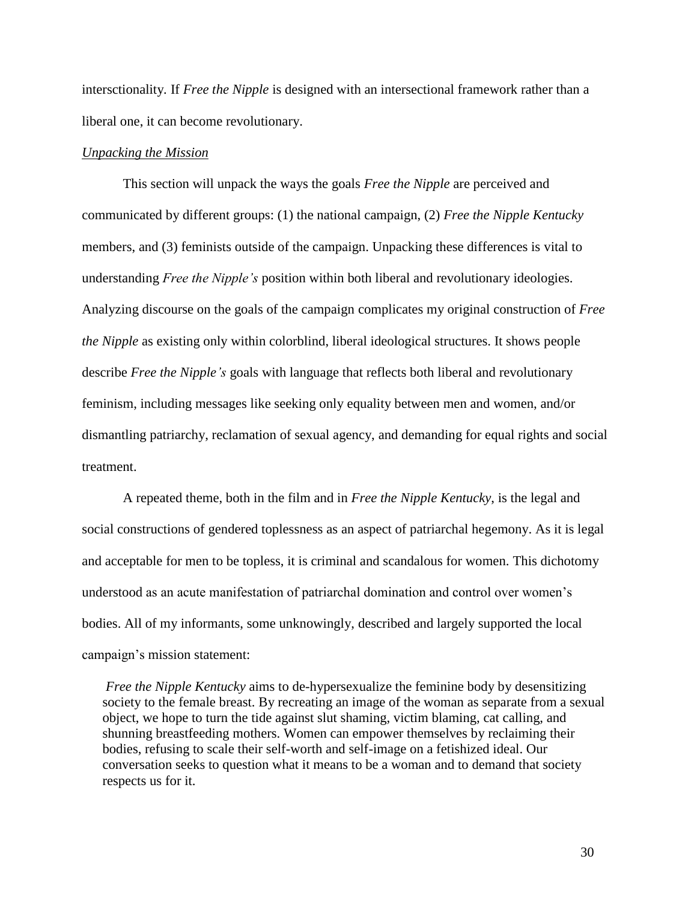intersctionality*.* If *Free the Nipple* is designed with an intersectional framework rather than a liberal one, it can become revolutionary.

## *Unpacking the Mission*

This section will unpack the ways the goals *Free the Nipple* are perceived and communicated by different groups: (1) the national campaign, (2) *Free the Nipple Kentucky*  members, and (3) feminists outside of the campaign. Unpacking these differences is vital to understanding *Free the Nipple's* position within both liberal and revolutionary ideologies. Analyzing discourse on the goals of the campaign complicates my original construction of *Free the Nipple* as existing only within colorblind, liberal ideological structures. It shows people describe *Free the Nipple's* goals with language that reflects both liberal and revolutionary feminism, including messages like seeking only equality between men and women, and/or dismantling patriarchy, reclamation of sexual agency, and demanding for equal rights and social treatment.

A repeated theme, both in the film and in *Free the Nipple Kentucky*, is the legal and social constructions of gendered toplessness as an aspect of patriarchal hegemony. As it is legal and acceptable for men to be topless, it is criminal and scandalous for women. This dichotomy understood as an acute manifestation of patriarchal domination and control over women's bodies. All of my informants, some unknowingly, described and largely supported the local campaign's mission statement:

*Free the Nipple Kentucky* aims to de-hypersexualize the feminine body by desensitizing society to the female breast. By recreating an image of the woman as separate from a sexual object, we hope to turn the tide against slut shaming, victim blaming, cat calling, and shunning breastfeeding mothers. Women can empower themselves by reclaiming their bodies, refusing to scale their self-worth and self-image on a fetishized ideal. Our conversation seeks to question what it means to be a woman and to demand that society respects us for it.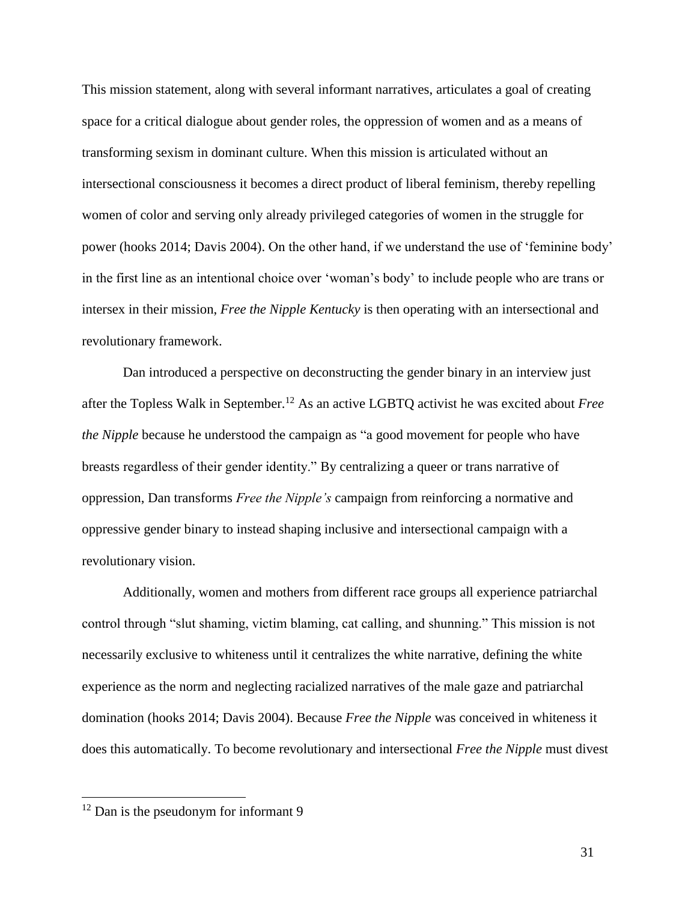This mission statement, along with several informant narratives, articulates a goal of creating space for a critical dialogue about gender roles, the oppression of women and as a means of transforming sexism in dominant culture. When this mission is articulated without an intersectional consciousness it becomes a direct product of liberal feminism, thereby repelling women of color and serving only already privileged categories of women in the struggle for power (hooks 2014; Davis 2004). On the other hand, if we understand the use of 'feminine body' in the first line as an intentional choice over 'woman's body' to include people who are trans or intersex in their mission, *Free the Nipple Kentucky* is then operating with an intersectional and revolutionary framework.

Dan introduced a perspective on deconstructing the gender binary in an interview just after the Topless Walk in September. <sup>12</sup> As an active LGBTQ activist he was excited about *Free the Nipple* because he understood the campaign as "a good movement for people who have breasts regardless of their gender identity." By centralizing a queer or trans narrative of oppression, Dan transforms *Free the Nipple's* campaign from reinforcing a normative and oppressive gender binary to instead shaping inclusive and intersectional campaign with a revolutionary vision.

Additionally, women and mothers from different race groups all experience patriarchal control through "slut shaming, victim blaming, cat calling, and shunning." This mission is not necessarily exclusive to whiteness until it centralizes the white narrative, defining the white experience as the norm and neglecting racialized narratives of the male gaze and patriarchal domination (hooks 2014; Davis 2004). Because *Free the Nipple* was conceived in whiteness it does this automatically. To become revolutionary and intersectional *Free the Nipple* must divest

 $\overline{\phantom{a}}$ 

 $12$  Dan is the pseudonym for informant 9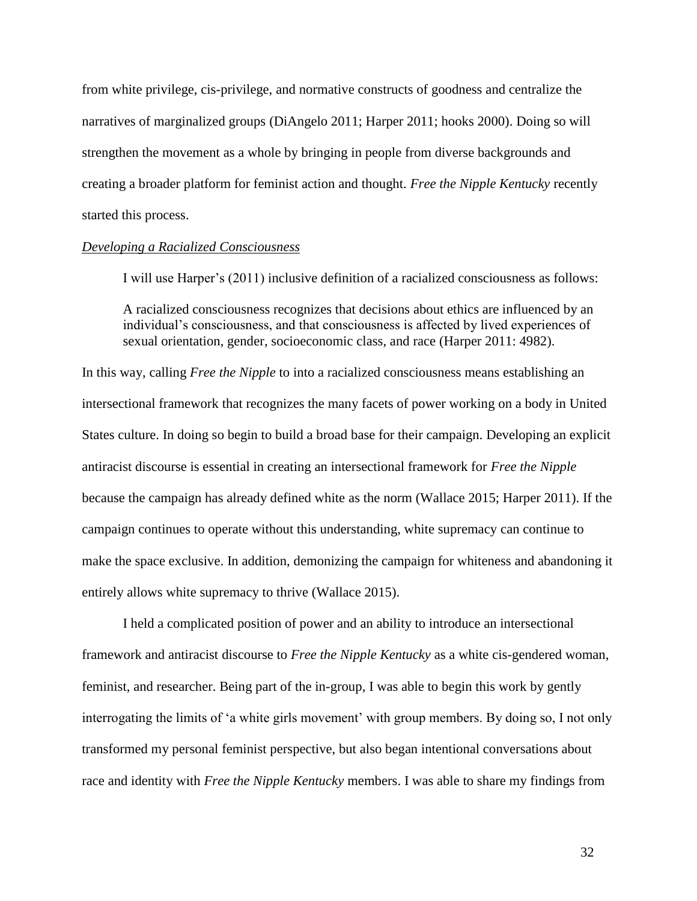from white privilege, cis-privilege, and normative constructs of goodness and centralize the narratives of marginalized groups (DiAngelo 2011; Harper 2011; hooks 2000). Doing so will strengthen the movement as a whole by bringing in people from diverse backgrounds and creating a broader platform for feminist action and thought. *Free the Nipple Kentucky* recently started this process.

## *Developing a Racialized Consciousness*

I will use Harper's (2011) inclusive definition of a racialized consciousness as follows:

A racialized consciousness recognizes that decisions about ethics are influenced by an individual's consciousness, and that consciousness is affected by lived experiences of sexual orientation, gender, socioeconomic class, and race (Harper 2011: 4982).

In this way, calling *Free the Nipple* to into a racialized consciousness means establishing an intersectional framework that recognizes the many facets of power working on a body in United States culture. In doing so begin to build a broad base for their campaign. Developing an explicit antiracist discourse is essential in creating an intersectional framework for *Free the Nipple*  because the campaign has already defined white as the norm (Wallace 2015; Harper 2011). If the campaign continues to operate without this understanding, white supremacy can continue to make the space exclusive. In addition, demonizing the campaign for whiteness and abandoning it entirely allows white supremacy to thrive (Wallace 2015).

I held a complicated position of power and an ability to introduce an intersectional framework and antiracist discourse to *Free the Nipple Kentucky* as a white cis-gendered woman, feminist, and researcher. Being part of the in-group, I was able to begin this work by gently interrogating the limits of 'a white girls movement' with group members. By doing so, I not only transformed my personal feminist perspective, but also began intentional conversations about race and identity with *Free the Nipple Kentucky* members. I was able to share my findings from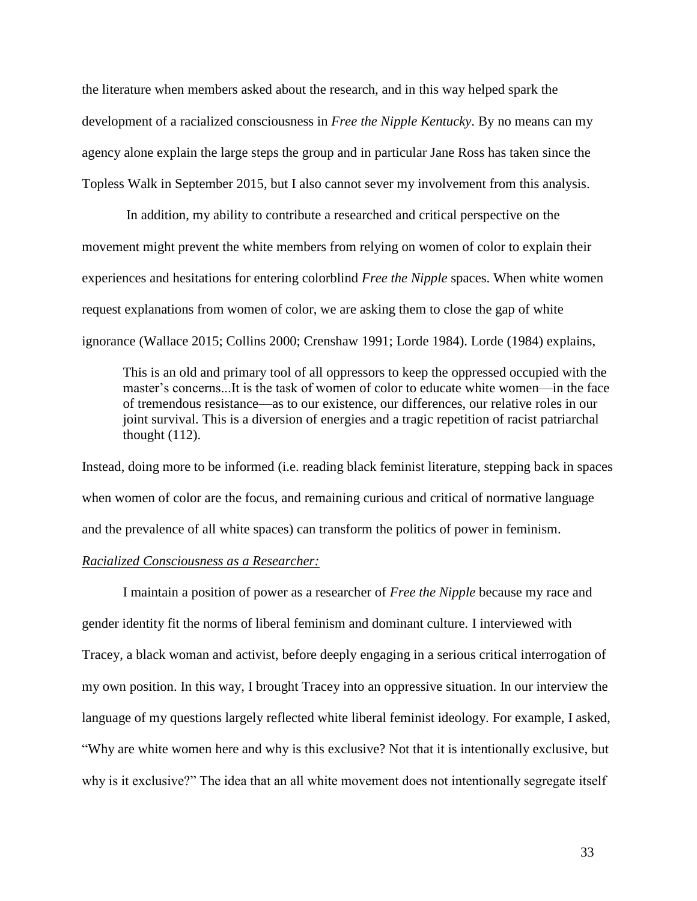the literature when members asked about the research, and in this way helped spark the development of a racialized consciousness in *Free the Nipple Kentucky*. By no means can my agency alone explain the large steps the group and in particular Jane Ross has taken since the Topless Walk in September 2015, but I also cannot sever my involvement from this analysis.

In addition, my ability to contribute a researched and critical perspective on the movement might prevent the white members from relying on women of color to explain their experiences and hesitations for entering colorblind *Free the Nipple* spaces. When white women request explanations from women of color, we are asking them to close the gap of white ignorance (Wallace 2015; Collins 2000; Crenshaw 1991; Lorde 1984). Lorde (1984) explains,

This is an old and primary tool of all oppressors to keep the oppressed occupied with the master's concerns...It is the task of women of color to educate white women—in the face of tremendous resistance—as to our existence, our differences, our relative roles in our joint survival. This is a diversion of energies and a tragic repetition of racist patriarchal thought  $(112)$ .

Instead, doing more to be informed (i.e. reading black feminist literature, stepping back in spaces when women of color are the focus, and remaining curious and critical of normative language and the prevalence of all white spaces) can transform the politics of power in feminism.

# *Racialized Consciousness as a Researcher:*

I maintain a position of power as a researcher of *Free the Nipple* because my race and gender identity fit the norms of liberal feminism and dominant culture. I interviewed with Tracey, a black woman and activist, before deeply engaging in a serious critical interrogation of my own position. In this way, I brought Tracey into an oppressive situation. In our interview the language of my questions largely reflected white liberal feminist ideology. For example, I asked, "Why are white women here and why is this exclusive? Not that it is intentionally exclusive, but why is it exclusive?" The idea that an all white movement does not intentionally segregate itself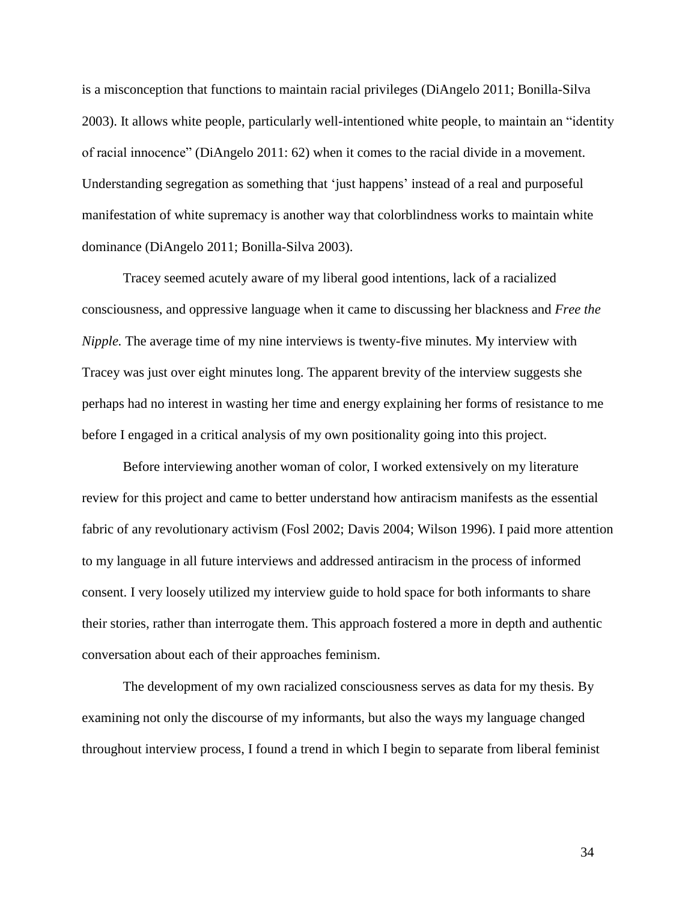is a misconception that functions to maintain racial privileges (DiAngelo 2011; Bonilla-Silva 2003). It allows white people, particularly well-intentioned white people, to maintain an "identity of racial innocence" (DiAngelo 2011: 62) when it comes to the racial divide in a movement. Understanding segregation as something that 'just happens' instead of a real and purposeful manifestation of white supremacy is another way that colorblindness works to maintain white dominance (DiAngelo 2011; Bonilla-Silva 2003).

Tracey seemed acutely aware of my liberal good intentions, lack of a racialized consciousness, and oppressive language when it came to discussing her blackness and *Free the Nipple.* The average time of my nine interviews is twenty-five minutes. My interview with Tracey was just over eight minutes long. The apparent brevity of the interview suggests she perhaps had no interest in wasting her time and energy explaining her forms of resistance to me before I engaged in a critical analysis of my own positionality going into this project.

Before interviewing another woman of color, I worked extensively on my literature review for this project and came to better understand how antiracism manifests as the essential fabric of any revolutionary activism (Fosl 2002; Davis 2004; Wilson 1996). I paid more attention to my language in all future interviews and addressed antiracism in the process of informed consent. I very loosely utilized my interview guide to hold space for both informants to share their stories, rather than interrogate them. This approach fostered a more in depth and authentic conversation about each of their approaches feminism.

The development of my own racialized consciousness serves as data for my thesis. By examining not only the discourse of my informants, but also the ways my language changed throughout interview process, I found a trend in which I begin to separate from liberal feminist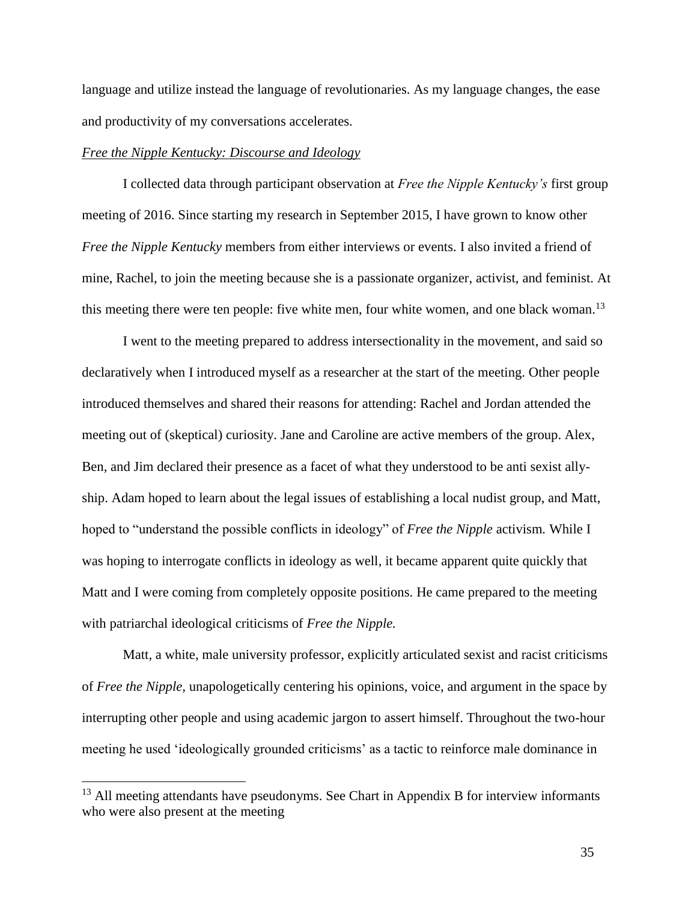language and utilize instead the language of revolutionaries. As my language changes, the ease and productivity of my conversations accelerates.

#### *Free the Nipple Kentucky: Discourse and Ideology*

I collected data through participant observation at *Free the Nipple Kentucky's* first group meeting of 2016. Since starting my research in September 2015, I have grown to know other *Free the Nipple Kentucky* members from either interviews or events. I also invited a friend of mine, Rachel, to join the meeting because she is a passionate organizer, activist, and feminist. At this meeting there were ten people: five white men, four white women, and one black woman.<sup>13</sup>

I went to the meeting prepared to address intersectionality in the movement, and said so declaratively when I introduced myself as a researcher at the start of the meeting. Other people introduced themselves and shared their reasons for attending: Rachel and Jordan attended the meeting out of (skeptical) curiosity. Jane and Caroline are active members of the group. Alex, Ben, and Jim declared their presence as a facet of what they understood to be anti sexist allyship. Adam hoped to learn about the legal issues of establishing a local nudist group, and Matt, hoped to "understand the possible conflicts in ideology" of *Free the Nipple* activism*.* While I was hoping to interrogate conflicts in ideology as well, it became apparent quite quickly that Matt and I were coming from completely opposite positions. He came prepared to the meeting with patriarchal ideological criticisms of *Free the Nipple.* 

Matt, a white, male university professor, explicitly articulated sexist and racist criticisms of *Free the Nipple,* unapologetically centering his opinions, voice, and argument in the space by interrupting other people and using academic jargon to assert himself. Throughout the two-hour meeting he used 'ideologically grounded criticisms' as a tactic to reinforce male dominance in

 $\overline{\phantom{a}}$ 

 $<sup>13</sup>$  All meeting attendants have pseudonyms. See Chart in Appendix B for interview informants</sup> who were also present at the meeting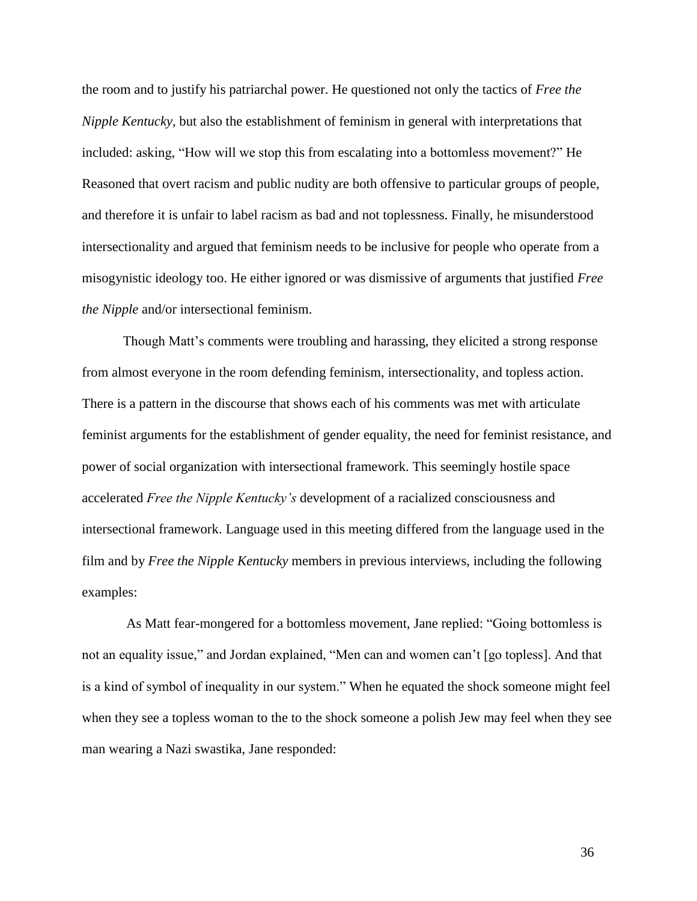the room and to justify his patriarchal power. He questioned not only the tactics of *Free the Nipple Kentucky,* but also the establishment of feminism in general with interpretations that included: asking, "How will we stop this from escalating into a bottomless movement?" He Reasoned that overt racism and public nudity are both offensive to particular groups of people, and therefore it is unfair to label racism as bad and not toplessness. Finally, he misunderstood intersectionality and argued that feminism needs to be inclusive for people who operate from a misogynistic ideology too. He either ignored or was dismissive of arguments that justified *Free the Nipple* and/or intersectional feminism.

Though Matt's comments were troubling and harassing, they elicited a strong response from almost everyone in the room defending feminism, intersectionality, and topless action. There is a pattern in the discourse that shows each of his comments was met with articulate feminist arguments for the establishment of gender equality, the need for feminist resistance, and power of social organization with intersectional framework. This seemingly hostile space accelerated *Free the Nipple Kentucky's* development of a racialized consciousness and intersectional framework. Language used in this meeting differed from the language used in the film and by *Free the Nipple Kentucky* members in previous interviews, including the following examples:

As Matt fear-mongered for a bottomless movement, Jane replied: "Going bottomless is not an equality issue," and Jordan explained, "Men can and women can't [go topless]. And that is a kind of symbol of inequality in our system." When he equated the shock someone might feel when they see a topless woman to the to the shock someone a polish Jew may feel when they see man wearing a Nazi swastika, Jane responded: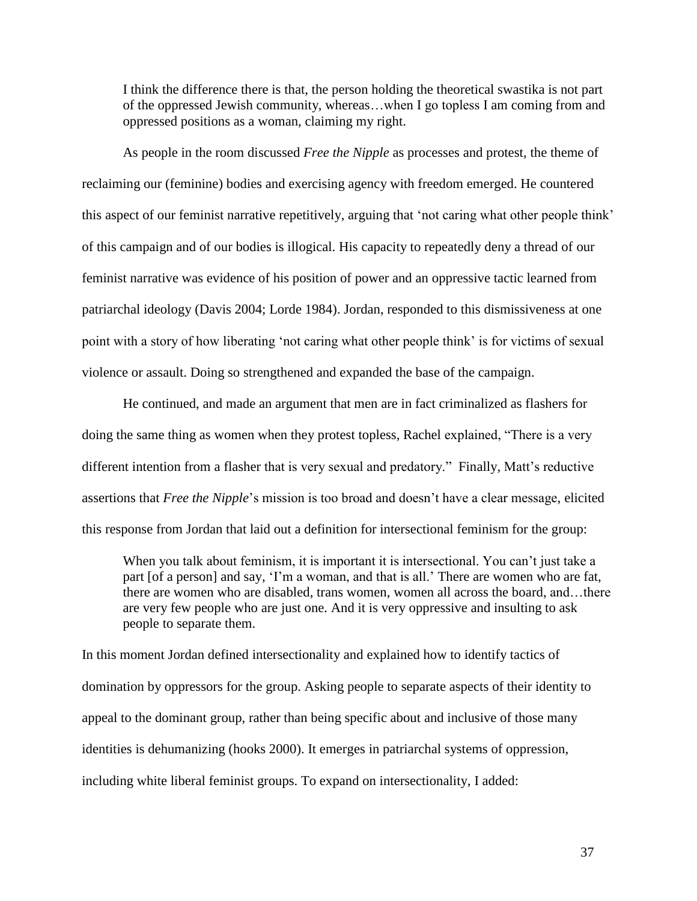I think the difference there is that, the person holding the theoretical swastika is not part of the oppressed Jewish community, whereas…when I go topless I am coming from and oppressed positions as a woman, claiming my right.

As people in the room discussed *Free the Nipple* as processes and protest, the theme of reclaiming our (feminine) bodies and exercising agency with freedom emerged. He countered this aspect of our feminist narrative repetitively, arguing that 'not caring what other people think' of this campaign and of our bodies is illogical. His capacity to repeatedly deny a thread of our feminist narrative was evidence of his position of power and an oppressive tactic learned from patriarchal ideology (Davis 2004; Lorde 1984). Jordan, responded to this dismissiveness at one point with a story of how liberating 'not caring what other people think' is for victims of sexual violence or assault. Doing so strengthened and expanded the base of the campaign.

He continued, and made an argument that men are in fact criminalized as flashers for doing the same thing as women when they protest topless, Rachel explained, "There is a very different intention from a flasher that is very sexual and predatory." Finally, Matt's reductive assertions that *Free the Nipple*'s mission is too broad and doesn't have a clear message, elicited this response from Jordan that laid out a definition for intersectional feminism for the group:

When you talk about feminism, it is important it is intersectional. You can't just take a part [of a person] and say, 'I'm a woman, and that is all.' There are women who are fat, there are women who are disabled, trans women, women all across the board, and…there are very few people who are just one. And it is very oppressive and insulting to ask people to separate them.

In this moment Jordan defined intersectionality and explained how to identify tactics of domination by oppressors for the group. Asking people to separate aspects of their identity to appeal to the dominant group, rather than being specific about and inclusive of those many identities is dehumanizing (hooks 2000). It emerges in patriarchal systems of oppression, including white liberal feminist groups. To expand on intersectionality, I added: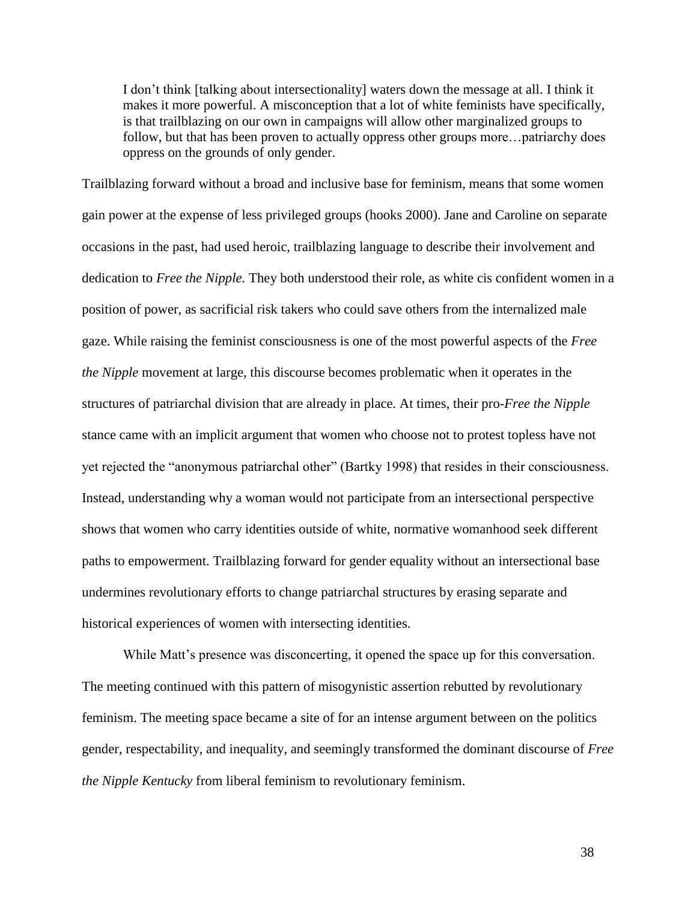I don't think [talking about intersectionality] waters down the message at all. I think it makes it more powerful. A misconception that a lot of white feminists have specifically, is that trailblazing on our own in campaigns will allow other marginalized groups to follow, but that has been proven to actually oppress other groups more…patriarchy does oppress on the grounds of only gender.

Trailblazing forward without a broad and inclusive base for feminism, means that some women gain power at the expense of less privileged groups (hooks 2000). Jane and Caroline on separate occasions in the past, had used heroic, trailblazing language to describe their involvement and dedication to *Free the Nipple.* They both understood their role, as white cis confident women in a position of power, as sacrificial risk takers who could save others from the internalized male gaze. While raising the feminist consciousness is one of the most powerful aspects of the *Free the Nipple* movement at large, this discourse becomes problematic when it operates in the structures of patriarchal division that are already in place. At times, their pro-*Free the Nipple*  stance came with an implicit argument that women who choose not to protest topless have not yet rejected the "anonymous patriarchal other" (Bartky 1998) that resides in their consciousness. Instead, understanding why a woman would not participate from an intersectional perspective shows that women who carry identities outside of white, normative womanhood seek different paths to empowerment. Trailblazing forward for gender equality without an intersectional base undermines revolutionary efforts to change patriarchal structures by erasing separate and historical experiences of women with intersecting identities.

While Matt's presence was disconcerting, it opened the space up for this conversation. The meeting continued with this pattern of misogynistic assertion rebutted by revolutionary feminism. The meeting space became a site of for an intense argument between on the politics gender, respectability, and inequality, and seemingly transformed the dominant discourse of *Free the Nipple Kentucky* from liberal feminism to revolutionary feminism.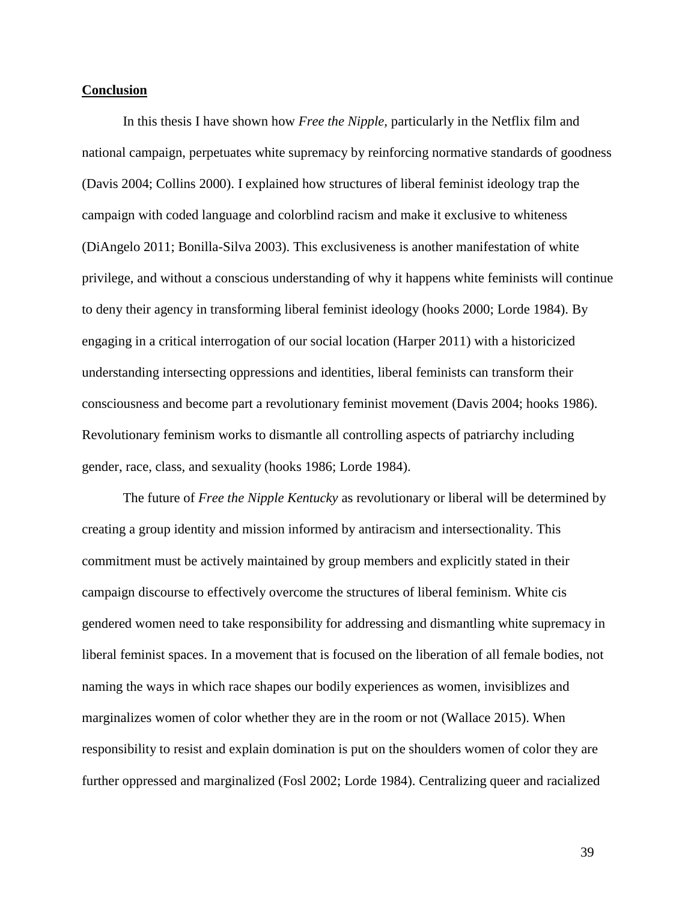# **Conclusion**

In this thesis I have shown how *Free the Nipple,* particularly in the Netflix film and national campaign, perpetuates white supremacy by reinforcing normative standards of goodness (Davis 2004; Collins 2000). I explained how structures of liberal feminist ideology trap the campaign with coded language and colorblind racism and make it exclusive to whiteness (DiAngelo 2011; Bonilla-Silva 2003). This exclusiveness is another manifestation of white privilege, and without a conscious understanding of why it happens white feminists will continue to deny their agency in transforming liberal feminist ideology (hooks 2000; Lorde 1984). By engaging in a critical interrogation of our social location (Harper 2011) with a historicized understanding intersecting oppressions and identities, liberal feminists can transform their consciousness and become part a revolutionary feminist movement (Davis 2004; hooks 1986). Revolutionary feminism works to dismantle all controlling aspects of patriarchy including gender, race, class, and sexuality (hooks 1986; Lorde 1984).

The future of *Free the Nipple Kentucky* as revolutionary or liberal will be determined by creating a group identity and mission informed by antiracism and intersectionality. This commitment must be actively maintained by group members and explicitly stated in their campaign discourse to effectively overcome the structures of liberal feminism. White cis gendered women need to take responsibility for addressing and dismantling white supremacy in liberal feminist spaces. In a movement that is focused on the liberation of all female bodies, not naming the ways in which race shapes our bodily experiences as women, invisiblizes and marginalizes women of color whether they are in the room or not (Wallace 2015). When responsibility to resist and explain domination is put on the shoulders women of color they are further oppressed and marginalized (Fosl 2002; Lorde 1984). Centralizing queer and racialized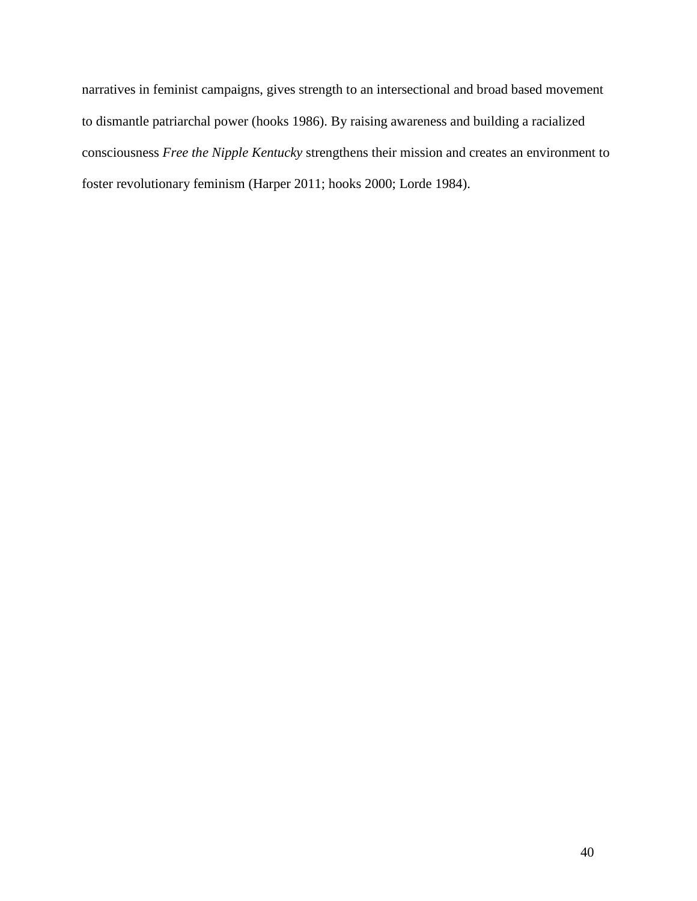narratives in feminist campaigns, gives strength to an intersectional and broad based movement to dismantle patriarchal power (hooks 1986). By raising awareness and building a racialized consciousness *Free the Nipple Kentucky* strengthens their mission and creates an environment to foster revolutionary feminism (Harper 2011; hooks 2000; Lorde 1984).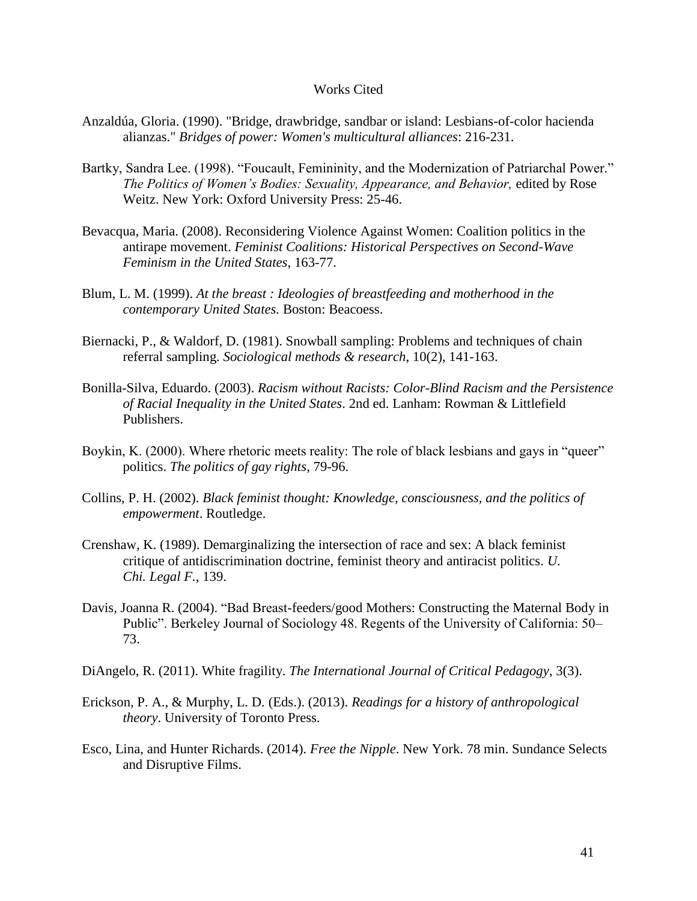# Works Cited

- Anzaldúa, Gloria. (1990). "Bridge, drawbridge, sandbar or island: Lesbians-of-color hacienda alianzas." *Bridges of power: Women's multicultural alliances*: 216-231.
- Bartky, Sandra Lee. (1998). "Foucault, Femininity, and the Modernization of Patriarchal Power." *The Politics of Women's Bodies: Sexuality, Appearance, and Behavior,* edited by Rose Weitz. New York: Oxford University Press: 25-46.
- Bevacqua, Maria. (2008). Reconsidering Violence Against Women: Coalition politics in the antirape movement. *Feminist Coalitions: Historical Perspectives on Second-Wave Feminism in the United States*, 163-77.
- Blum, L. M. (1999). *At the breast : Ideologies of breastfeeding and motherhood in the contemporary United States.* Boston: Beacoess.
- Biernacki, P., & Waldorf, D. (1981). Snowball sampling: Problems and techniques of chain referral sampling. *Sociological methods & research*, 10(2), 141-163.
- Bonilla-Silva, Eduardo. (2003). *Racism without Racists: Color-Blind Racism and the Persistence of Racial Inequality in the United States*. 2nd ed. Lanham: Rowman & Littlefield Publishers.
- Boykin, K. (2000). Where rhetoric meets reality: The role of black lesbians and gays in "queer" politics. *The politics of gay rights*, 79-96.
- Collins, P. H. (2002). *Black feminist thought: Knowledge, consciousness, and the politics of empowerment*. Routledge.
- Crenshaw, K. (1989). Demarginalizing the intersection of race and sex: A black feminist critique of antidiscrimination doctrine, feminist theory and antiracist politics. *U. Chi. Legal F.*, 139.
- Davis, Joanna R. (2004). "Bad Breast-feeders/good Mothers: Constructing the Maternal Body in Public". Berkeley Journal of Sociology 48. Regents of the University of California: 50– 73.
- DiAngelo, R. (2011). White fragility. *The International Journal of Critical Pedagogy*, 3(3).
- Erickson, P. A., & Murphy, L. D. (Eds.). (2013). *Readings for a history of anthropological theory*. University of Toronto Press.
- Esco, Lina, and Hunter Richards. (2014). *Free the Nipple*. New York. 78 min. Sundance Selects and Disruptive Films.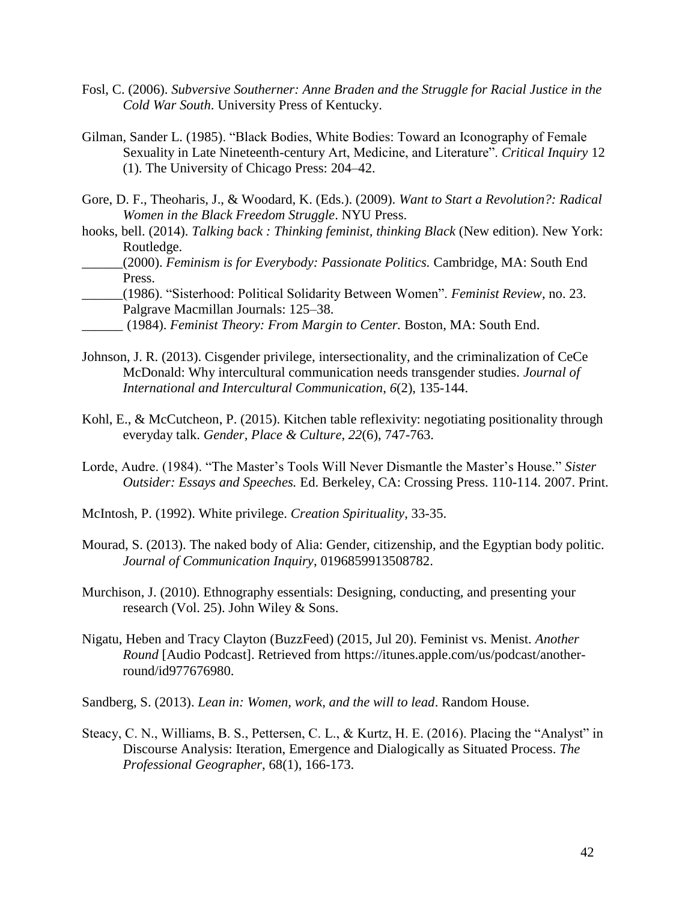- Fosl, C. (2006). *Subversive Southerner: Anne Braden and the Struggle for Racial Justice in the Cold War South*. University Press of Kentucky.
- Gilman, Sander L. (1985). "Black Bodies, White Bodies: Toward an Iconography of Female Sexuality in Late Nineteenth-century Art, Medicine, and Literature". *Critical Inquiry* 12 (1). The University of Chicago Press: 204–42.
- Gore, D. F., Theoharis, J., & Woodard, K. (Eds.). (2009). *Want to Start a Revolution?: Radical Women in the Black Freedom Struggle*. NYU Press.
- hooks, bell. (2014). *Talking back : Thinking feminist, thinking Black* (New edition). New York: Routledge.
- \_\_\_\_\_\_(2000). *Feminism is for Everybody: Passionate Politics.* Cambridge, MA: South End Press.
- \_\_\_\_\_\_(1986). "Sisterhood: Political Solidarity Between Women". *Feminist Review*, no. 23. Palgrave Macmillan Journals: 125–38.
- \_\_\_\_\_\_ (1984). *Feminist Theory: From Margin to Center.* Boston, MA: South End.
- Johnson, J. R. (2013). Cisgender privilege, intersectionality, and the criminalization of CeCe McDonald: Why intercultural communication needs transgender studies. *Journal of International and Intercultural Communication*, *6*(2), 135-144.
- Kohl, E., & McCutcheon, P. (2015). Kitchen table reflexivity: negotiating positionality through everyday talk. *Gender, Place & Culture*, *22*(6), 747-763.
- Lorde, Audre. (1984). "The Master's Tools Will Never Dismantle the Master's House." *Sister Outsider: Essays and Speeches.* Ed. Berkeley, CA: Crossing Press. 110-114. 2007. Print.
- McIntosh, P. (1992). White privilege. *Creation Spirituality*, 33-35.
- Mourad, S. (2013). The naked body of Alia: Gender, citizenship, and the Egyptian body politic. *Journal of Communication Inquiry*, 0196859913508782.
- Murchison, J. (2010). Ethnography essentials: Designing, conducting, and presenting your research (Vol. 25). John Wiley & Sons.
- Nigatu, Heben and Tracy Clayton (BuzzFeed) (2015, Jul 20). Feminist vs. Menist. *Another Round* [Audio Podcast]. Retrieved from https://itunes.apple.com/us/podcast/anotherround/id977676980.
- Sandberg, S. (2013). *Lean in: Women, work, and the will to lead*. Random House.
- Steacy, C. N., Williams, B. S., Pettersen, C. L., & Kurtz, H. E. (2016). Placing the "Analyst" in Discourse Analysis: Iteration, Emergence and Dialogically as Situated Process. *The Professional Geographer*, 68(1), 166-173.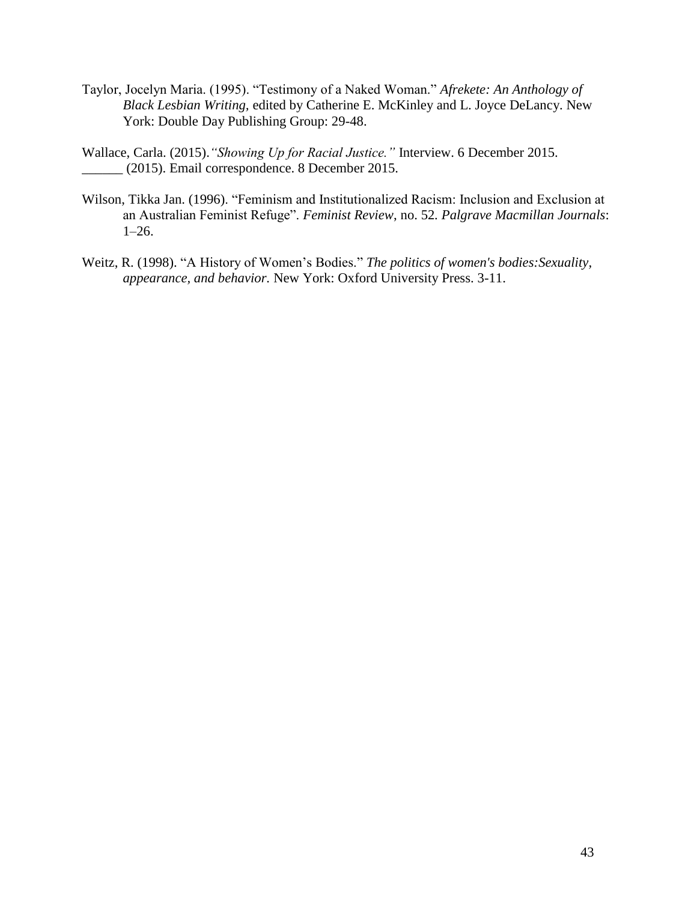Taylor, Jocelyn Maria. (1995). "Testimony of a Naked Woman." *Afrekete: An Anthology of Black Lesbian Writing,* edited by Catherine E. McKinley and L. Joyce DeLancy. New York: Double Day Publishing Group: 29-48.

Wallace, Carla. (2015).*"Showing Up for Racial Justice."* Interview. 6 December 2015. \_\_\_\_\_\_ (2015). Email correspondence. 8 December 2015.

- Wilson, Tikka Jan. (1996). "Feminism and Institutionalized Racism: Inclusion and Exclusion at an Australian Feminist Refuge". *Feminist Review*, no. 52*. Palgrave Macmillan Journals*: 1–26.
- Weitz, R. (1998). "A History of Women's Bodies." *The politics of women's bodies:Sexuality, appearance, and behavior.* New York: Oxford University Press. 3-11.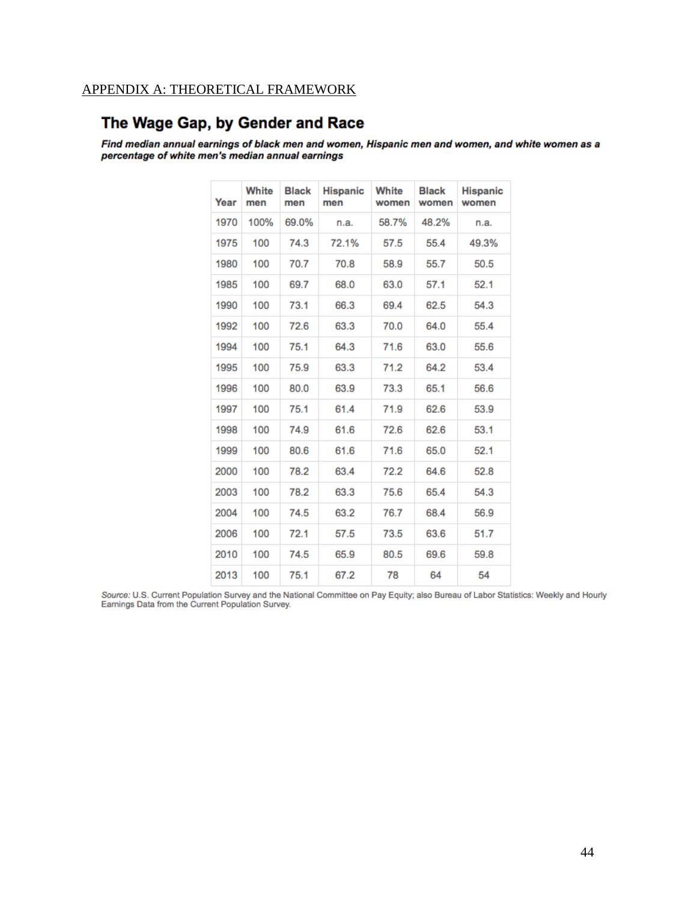# The Wage Gap, by Gender and Race

Find median annual earnings of black men and women, Hispanic men and women, and white women as a percentage of white men's median annual earnings

| Year | White<br>men | <b>Black</b><br>men | <b>Hispanic</b><br>men | White<br>women | <b>Black</b><br>women | <b>Hispanic</b><br>women |
|------|--------------|---------------------|------------------------|----------------|-----------------------|--------------------------|
| 1970 | 100%         | 69.0%               | n.a.                   | 58.7%          | 48.2%                 | n.a.                     |
| 1975 | 100          | 74.3                | 72.1%                  | 57.5           | 55.4                  | 49.3%                    |
| 1980 | 100          | 70.7                | 70.8                   | 58.9           | 55.7                  | 50.5                     |
| 1985 | 100          | 69.7                | 68.0                   | 63.0           | 57.1                  | 52.1                     |
| 1990 | 100          | 73.1                | 66.3                   | 69.4           | 62.5                  | 54.3                     |
| 1992 | 100          | 72.6                | 63.3                   | 70.0           | 64.0                  | 55.4                     |
| 1994 | 100          | 75.1                | 64.3                   | 71.6           | 63.0                  | 55.6                     |
| 1995 | 100          | 75.9                | 63.3                   | 71.2           | 64.2                  | 53.4                     |
| 1996 | 100          | 80.0                | 63.9                   | 73.3           | 65.1                  | 56.6                     |
| 1997 | 100          | 75.1                | 61.4                   | 71.9           | 62.6                  | 53.9                     |
| 1998 | 100          | 74.9                | 61.6                   | 72.6           | 62.6                  | 53.1                     |
| 1999 | 100          | 80.6                | 61.6                   | 71.6           | 65.0                  | 52.1                     |
| 2000 | 100          | 78.2                | 63.4                   | 72.2           | 64.6                  | 52.8                     |
| 2003 | 100          | 78.2                | 63.3                   | 75.6           | 65.4                  | 54.3                     |
| 2004 | 100          | 74.5                | 63.2                   | 76.7           | 68.4                  | 56.9                     |
| 2006 | 100          | 72.1                | 57.5                   | 73.5           | 63.6                  | 51.7                     |
| 2010 | 100          | 74.5                | 65.9                   | 80.5           | 69.6                  | 59.8                     |
| 2013 | 100          | 75.1                | 67.2                   | 78             | 64                    | 54                       |

Source: U.S. Current Population Survey and the National Committee on Pay Equity; also Bureau of Labor Statistics: Weekly and Hourly<br>Earnings Data from the Current Population Survey.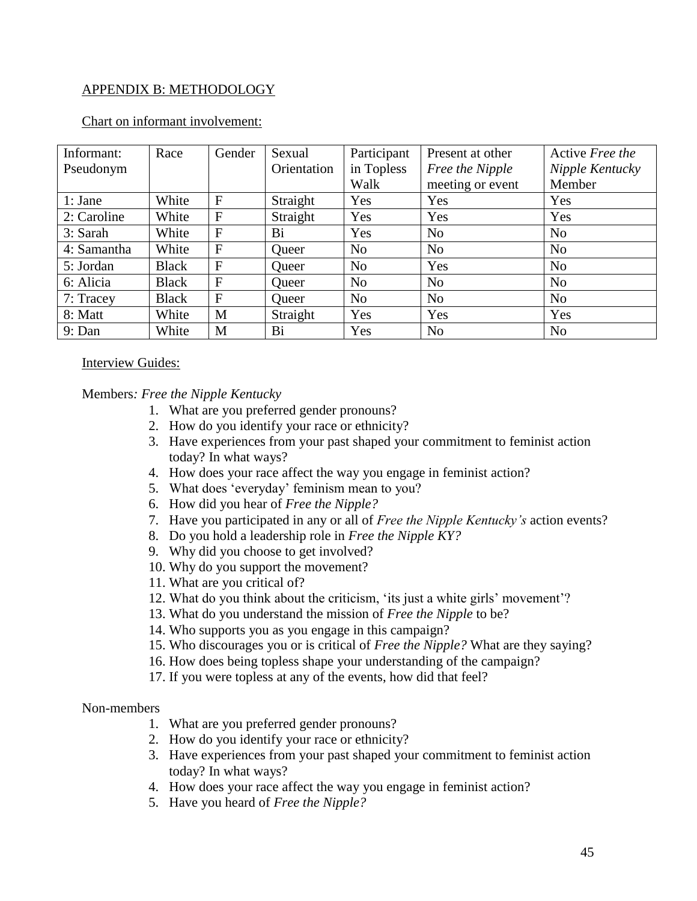# APPENDIX B: METHODOLOGY

| Informant:  | Race         | Gender       | Sexual      | Participant    | Present at other | Active Free the |
|-------------|--------------|--------------|-------------|----------------|------------------|-----------------|
| Pseudonym   |              |              | Orientation | in Topless     | Free the Nipple  | Nipple Kentucky |
|             |              |              |             | Walk           | meeting or event | Member          |
| 1: Jane     | White        | F            | Straight    | Yes            | Yes              | Yes             |
| 2: Caroline | White        | F            | Straight    | Yes            | Yes              | Yes             |
| 3: Sarah    | White        | F            | Bi          | Yes            | N <sub>o</sub>   | N <sub>o</sub>  |
| 4: Samantha | White        | F            | Queer       | No             | N <sub>0</sub>   | N <sub>o</sub>  |
| 5: Jordan   | <b>Black</b> | $\mathbf{F}$ | Queer       | N <sub>o</sub> | Yes              | N <sub>o</sub>  |
| 6: Alicia   | <b>Black</b> | F            | Queer       | N <sub>o</sub> | N <sub>o</sub>   | N <sub>o</sub>  |
| 7: Tracey   | <b>Black</b> | $\mathbf{F}$ | Queer       | N <sub>o</sub> | N <sub>o</sub>   | N <sub>o</sub>  |
| 8: Matt     | White        | M            | Straight    | Yes            | Yes              | Yes             |
| 9: Dan      | White        | M            | Bi          | Yes            | N <sub>o</sub>   | N <sub>o</sub>  |

# Chart on informant involvement:

# Interview Guides:

# Members*: Free the Nipple Kentucky*

- 1. What are you preferred gender pronouns?
- 2. How do you identify your race or ethnicity?
- 3. Have experiences from your past shaped your commitment to feminist action today? In what ways?
- 4. How does your race affect the way you engage in feminist action?
- 5. What does 'everyday' feminism mean to you?
- 6. How did you hear of *Free the Nipple?*
- 7. Have you participated in any or all of *Free the Nipple Kentucky's* action events?
- 8. Do you hold a leadership role in *Free the Nipple KY?*
- 9. Why did you choose to get involved?
- 10. Why do you support the movement?
- 11. What are you critical of?
- 12. What do you think about the criticism, 'its just a white girls' movement'?
- 13. What do you understand the mission of *Free the Nipple* to be?
- 14. Who supports you as you engage in this campaign?
- 15. Who discourages you or is critical of *Free the Nipple?* What are they saying?
- 16. How does being topless shape your understanding of the campaign?
- 17. If you were topless at any of the events, how did that feel?

# Non-members

- 1. What are you preferred gender pronouns?
- 2. How do you identify your race or ethnicity?
- 3. Have experiences from your past shaped your commitment to feminist action today? In what ways?
- 4. How does your race affect the way you engage in feminist action?
- 5. Have you heard of *Free the Nipple?*